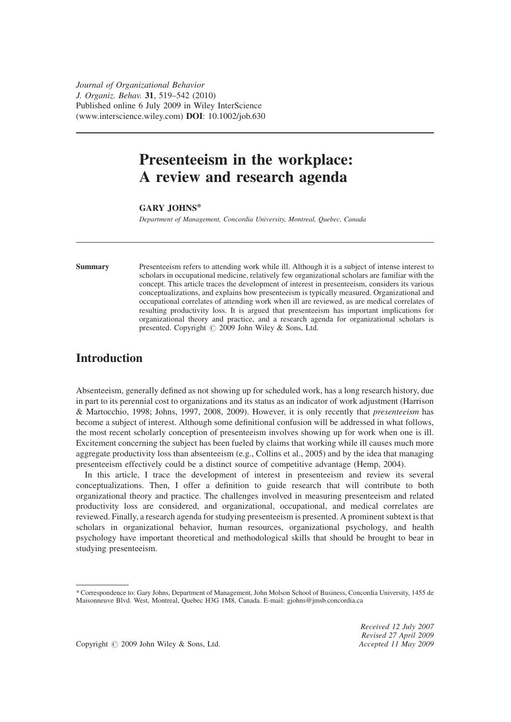Journal of Organizational Behavior J. Organiz. Behav. 31, 519–542 (2010) Published online 6 July 2009 in Wiley InterScience (www.interscience.wiley.com) DOI: 10.1002/job.630

# Presenteeism in the workplace: A review and research agenda

### GARY JOHNS\*

Department of Management, Concordia University, Montreal, Quebec, Canada

Summary Presenteeism refers to attending work while ill. Although it is a subject of intense interest to scholars in occupational medicine, relatively few organizational scholars are familiar with the concept. This article traces the development of interest in presenteeism, considers its various conceptualizations, and explains how presenteeism is typically measured. Organizational and occupational correlates of attending work when ill are reviewed, as are medical correlates of resulting productivity loss. It is argued that presenteeism has important implications for organizational theory and practice, and a research agenda for organizational scholars is presented. Copyright  $\odot$  2009 John Wiley & Sons, Ltd.

## Introduction

Absenteeism, generally defined as not showing up for scheduled work, has a long research history, due in part to its perennial cost to organizations and its status as an indicator of work adjustment (Harrison & Martocchio, 1998; Johns, 1997, 2008, 2009). However, it is only recently that presenteeism has become a subject of interest. Although some definitional confusion will be addressed in what follows, the most recent scholarly conception of presenteeism involves showing up for work when one is ill. Excitement concerning the subject has been fueled by claims that working while ill causes much more aggregate productivity loss than absenteeism (e.g., Collins et al., 2005) and by the idea that managing presenteeism effectively could be a distinct source of competitive advantage (Hemp, 2004).

In this article, I trace the development of interest in presenteeism and review its several conceptualizations. Then, I offer a definition to guide research that will contribute to both organizational theory and practice. The challenges involved in measuring presenteeism and related productivity loss are considered, and organizational, occupational, and medical correlates are reviewed. Finally, a research agenda for studying presenteeism is presented. A prominent subtext is that scholars in organizational behavior, human resources, organizational psychology, and health psychology have important theoretical and methodological skills that should be brought to bear in studying presenteeism.

Copyright  $\odot$  2009 John Wiley & Sons, Ltd.

<sup>\*</sup> Correspondence to: Gary Johns, Department of Management, John Molson School of Business, Concordia University, 1455 de Maisonneuve Blvd. West, Montreal, Quebec H3G 1M8, Canada. E-mail: gjohns@jmsb.concordia.ca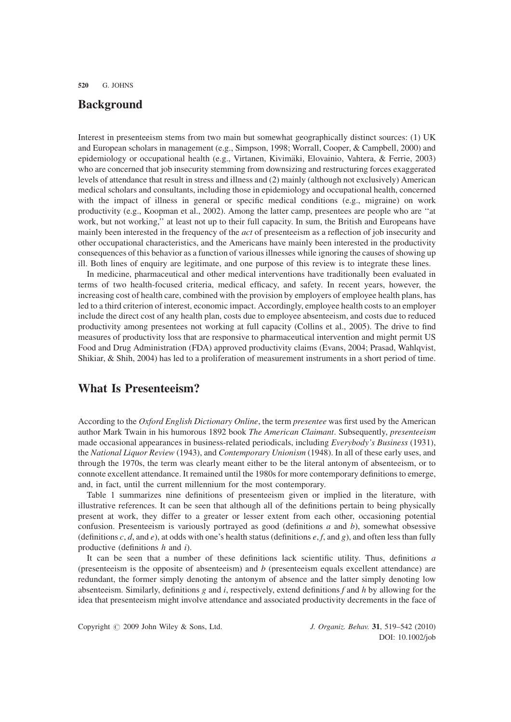## **Background**

Interest in presenteeism stems from two main but somewhat geographically distinct sources: (1) UK and European scholars in management (e.g., Simpson, 1998; Worrall, Cooper, & Campbell, 2000) and epidemiology or occupational health (e.g., Virtanen, Kivimäki, Elovainio, Vahtera, & Ferrie, 2003) who are concerned that job insecurity stemming from downsizing and restructuring forces exaggerated levels of attendance that result in stress and illness and (2) mainly (although not exclusively) American medical scholars and consultants, including those in epidemiology and occupational health, concerned with the impact of illness in general or specific medical conditions (e.g., migraine) on work productivity (e.g., Koopman et al., 2002). Among the latter camp, presentees are people who are ''at work, but not working,'' at least not up to their full capacity. In sum, the British and Europeans have mainly been interested in the frequency of the *act* of presenteeism as a reflection of job insecurity and other occupational characteristics, and the Americans have mainly been interested in the productivity consequences of this behavior as a function of various illnesses while ignoring the causes of showing up ill. Both lines of enquiry are legitimate, and one purpose of this review is to integrate these lines.

In medicine, pharmaceutical and other medical interventions have traditionally been evaluated in terms of two health-focused criteria, medical efficacy, and safety. In recent years, however, the increasing cost of health care, combined with the provision by employers of employee health plans, has led to a third criterion of interest, economic impact. Accordingly, employee health costs to an employer include the direct cost of any health plan, costs due to employee absenteeism, and costs due to reduced productivity among presentees not working at full capacity (Collins et al., 2005). The drive to find measures of productivity loss that are responsive to pharmaceutical intervention and might permit US Food and Drug Administration (FDA) approved productivity claims (Evans, 2004; Prasad, Wahlqvist, Shikiar, & Shih, 2004) has led to a proliferation of measurement instruments in a short period of time.

## What Is Presenteeism?

According to the Oxford English Dictionary Online, the term presentee was first used by the American author Mark Twain in his humorous 1892 book *The American Claimant*. Subsequently, *presenteeism* made occasional appearances in business-related periodicals, including Everybody's Business (1931), the National Liquor Review (1943), and Contemporary Unionism (1948). In all of these early uses, and through the 1970s, the term was clearly meant either to be the literal antonym of absenteeism, or to connote excellent attendance. It remained until the 1980s for more contemporary definitions to emerge, and, in fact, until the current millennium for the most contemporary.

Table 1 summarizes nine definitions of presenteeism given or implied in the literature, with illustrative references. It can be seen that although all of the definitions pertain to being physically present at work, they differ to a greater or lesser extent from each other, occasioning potential confusion. Presenteeism is variously portrayed as good (definitions  $a$  and  $b$ ), somewhat obsessive (definitions c, d, and e), at odds with one's health status (definitions  $e, f$ , and  $g$ ), and often less than fully productive (definitions  $h$  and  $i$ ).

It can be seen that a number of these definitions lack scientific utility. Thus, definitions  $a$ (presenteeism is the opposite of absenteeism) and  $b$  (presenteeism equals excellent attendance) are redundant, the former simply denoting the antonym of absence and the latter simply denoting low absenteeism. Similarly, definitions g and i, respectively, extend definitions f and h by allowing for the idea that presenteeism might involve attendance and associated productivity decrements in the face of

Copyright  $\odot$  2009 John Wiley & Sons, Ltd. J. Organiz. Behav. 31, 519–542 (2010)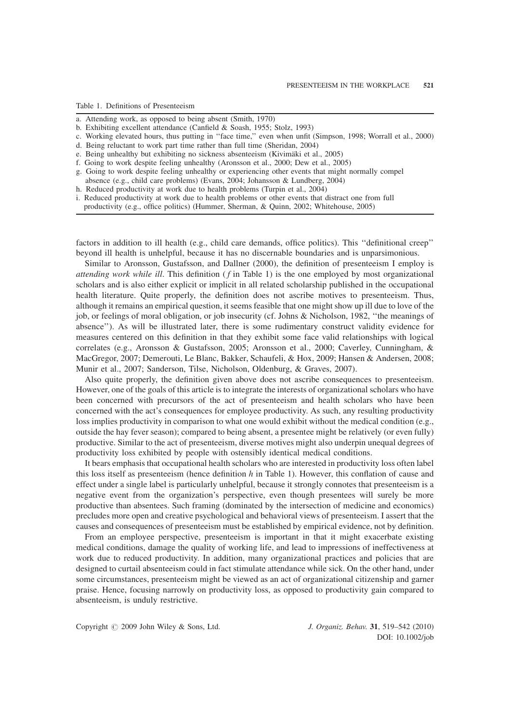Table 1. Definitions of Presenteeism

- a. Attending work, as opposed to being absent (Smith, 1970)
- b. Exhibiting excellent attendance (Canfield & Soash, 1955; Stolz, 1993)
- c. Working elevated hours, thus putting in ''face time,'' even when unfit (Simpson, 1998; Worrall et al., 2000)
- d. Being reluctant to work part time rather than full time (Sheridan, 2004)
- e. Being unhealthy but exhibiting no sickness absenteeism (Kivimäki et al., 2005)
- f. Going to work despite feeling unhealthy (Aronsson et al., 2000; Dew et al., 2005)
- g. Going to work despite feeling unhealthy or experiencing other events that might normally compel
- absence (e.g., child care problems) (Evans, 2004; Johansson & Lundberg, 2004)

h. Reduced productivity at work due to health problems (Turpin et al., 2004)

i. Reduced productivity at work due to health problems or other events that distract one from full

productivity (e.g., office politics) (Hummer, Sherman, & Quinn, 2002; Whitehouse, 2005)

factors in addition to ill health (e.g., child care demands, office politics). This ''definitional creep'' beyond ill health is unhelpful, because it has no discernable boundaries and is unparsimonious.

Similar to Aronsson, Gustafsson, and Dallner (2000), the definition of presenteeism I employ is attending work while ill. This definition  $(f \text{ in Table 1})$  is the one employed by most organizational scholars and is also either explicit or implicit in all related scholarship published in the occupational health literature. Quite properly, the definition does not ascribe motives to presenteeism. Thus, although it remains an empirical question, it seems feasible that one might show up ill due to love of the job, or feelings of moral obligation, or job insecurity (cf. Johns & Nicholson, 1982, ''the meanings of absence''). As will be illustrated later, there is some rudimentary construct validity evidence for measures centered on this definition in that they exhibit some face valid relationships with logical correlates (e.g., Aronsson & Gustafsson, 2005; Aronsson et al., 2000; Caverley, Cunningham, & MacGregor, 2007; Demerouti, Le Blanc, Bakker, Schaufeli, & Hox, 2009; Hansen & Andersen, 2008; Munir et al., 2007; Sanderson, Tilse, Nicholson, Oldenburg, & Graves, 2007).

Also quite properly, the definition given above does not ascribe consequences to presenteeism. However, one of the goals of this article is to integrate the interests of organizational scholars who have been concerned with precursors of the act of presenteeism and health scholars who have been concerned with the act's consequences for employee productivity. As such, any resulting productivity loss implies productivity in comparison to what one would exhibit without the medical condition (e.g., outside the hay fever season); compared to being absent, a presentee might be relatively (or even fully) productive. Similar to the act of presenteeism, diverse motives might also underpin unequal degrees of productivity loss exhibited by people with ostensibly identical medical conditions.

It bears emphasis that occupational health scholars who are interested in productivity loss often label this loss itself as presenteeism (hence definition  $h$  in Table 1). However, this conflation of cause and effect under a single label is particularly unhelpful, because it strongly connotes that presenteeism is a negative event from the organization's perspective, even though presentees will surely be more productive than absentees. Such framing (dominated by the intersection of medicine and economics) precludes more open and creative psychological and behavioral views of presenteeism. I assert that the causes and consequences of presenteeism must be established by empirical evidence, not by definition.

From an employee perspective, presenteeism is important in that it might exacerbate existing medical conditions, damage the quality of working life, and lead to impressions of ineffectiveness at work due to reduced productivity. In addition, many organizational practices and policies that are designed to curtail absenteeism could in fact stimulate attendance while sick. On the other hand, under some circumstances, presenteeism might be viewed as an act of organizational citizenship and garner praise. Hence, focusing narrowly on productivity loss, as opposed to productivity gain compared to absenteeism, is unduly restrictive.

Copyright  $\odot$  2009 John Wiley & Sons, Ltd. J. Organiz. Behav. 31, 519–542 (2010)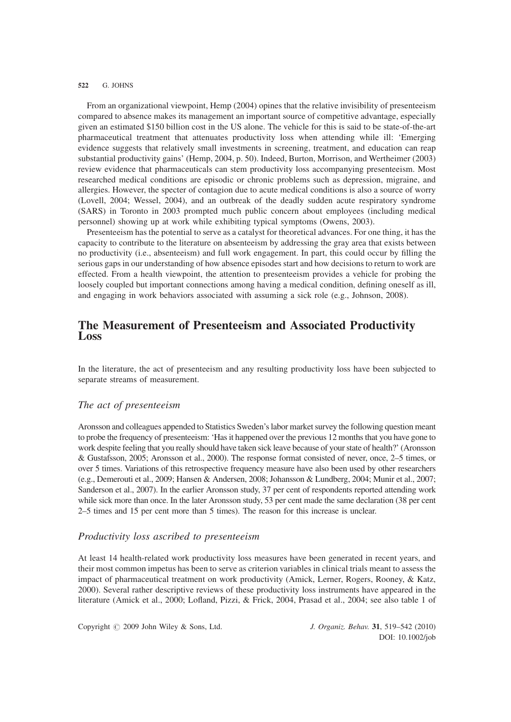From an organizational viewpoint, Hemp (2004) opines that the relative invisibility of presenteeism compared to absence makes its management an important source of competitive advantage, especially given an estimated \$150 billion cost in the US alone. The vehicle for this is said to be state-of-the-art pharmaceutical treatment that attenuates productivity loss when attending while ill: 'Emerging evidence suggests that relatively small investments in screening, treatment, and education can reap substantial productivity gains' (Hemp, 2004, p. 50). Indeed, Burton, Morrison, and Wertheimer (2003) review evidence that pharmaceuticals can stem productivity loss accompanying presenteeism. Most researched medical conditions are episodic or chronic problems such as depression, migraine, and allergies. However, the specter of contagion due to acute medical conditions is also a source of worry (Lovell, 2004; Wessel, 2004), and an outbreak of the deadly sudden acute respiratory syndrome (SARS) in Toronto in 2003 prompted much public concern about employees (including medical personnel) showing up at work while exhibiting typical symptoms (Owens, 2003).

Presenteeism has the potential to serve as a catalyst for theoretical advances. For one thing, it has the capacity to contribute to the literature on absenteeism by addressing the gray area that exists between no productivity (i.e., absenteeism) and full work engagement. In part, this could occur by filling the serious gaps in our understanding of how absence episodes start and how decisions to return to work are effected. From a health viewpoint, the attention to presenteeism provides a vehicle for probing the loosely coupled but important connections among having a medical condition, defining oneself as ill, and engaging in work behaviors associated with assuming a sick role (e.g., Johnson, 2008).

## The Measurement of Presenteeism and Associated Productivity Loss

In the literature, the act of presenteeism and any resulting productivity loss have been subjected to separate streams of measurement.

## The act of presenteeism

Aronsson and colleagues appended to Statistics Sweden's labor market survey the following question meant to probe the frequency of presenteeism: 'Has it happened over the previous 12 months that you have gone to work despite feeling that you really should have taken sick leave because of your state of health?' (Aronsson & Gustafsson, 2005; Aronsson et al., 2000). The response format consisted of never, once, 2–5 times, or over 5 times. Variations of this retrospective frequency measure have also been used by other researchers (e.g., Demerouti et al., 2009; Hansen & Andersen, 2008; Johansson & Lundberg, 2004; Munir et al., 2007; Sanderson et al., 2007). In the earlier Aronsson study, 37 per cent of respondents reported attending work while sick more than once. In the later Aronsson study, 53 per cent made the same declaration (38 per cent 2–5 times and 15 per cent more than 5 times). The reason for this increase is unclear.

## Productivity loss ascribed to presenteeism

At least 14 health-related work productivity loss measures have been generated in recent years, and their most common impetus has been to serve as criterion variables in clinical trials meant to assess the impact of pharmaceutical treatment on work productivity (Amick, Lerner, Rogers, Rooney, & Katz, 2000). Several rather descriptive reviews of these productivity loss instruments have appeared in the literature (Amick et al., 2000; Lofland, Pizzi, & Frick, 2004, Prasad et al., 2004; see also table 1 of

Copyright  $\odot$  2009 John Wiley & Sons, Ltd. J. Organiz. Behav. 31, 519–542 (2010)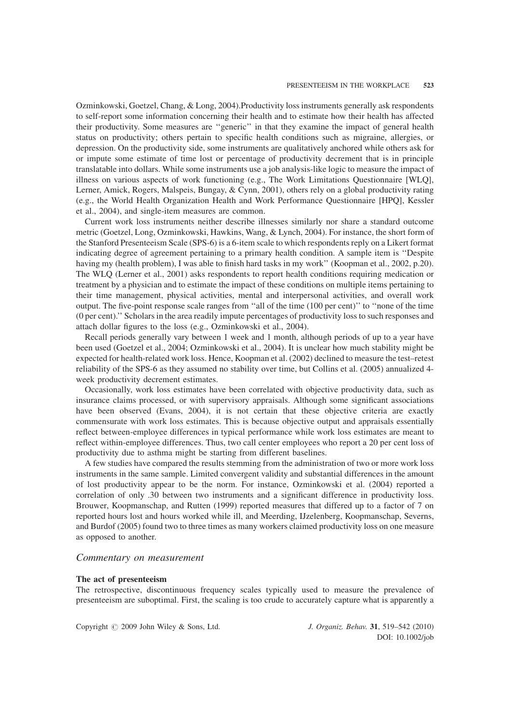Ozminkowski, Goetzel, Chang, & Long, 2004).Productivity loss instruments generally ask respondents to self-report some information concerning their health and to estimate how their health has affected their productivity. Some measures are ''generic'' in that they examine the impact of general health status on productivity; others pertain to specific health conditions such as migraine, allergies, or depression. On the productivity side, some instruments are qualitatively anchored while others ask for or impute some estimate of time lost or percentage of productivity decrement that is in principle translatable into dollars. While some instruments use a job analysis-like logic to measure the impact of illness on various aspects of work functioning (e.g., The Work Limitations Questionnaire [WLQ], Lerner, Amick, Rogers, Malspeis, Bungay, & Cynn, 2001), others rely on a global productivity rating (e.g., the World Health Organization Health and Work Performance Questionnaire [HPQ], Kessler et al., 2004), and single-item measures are common.

Current work loss instruments neither describe illnesses similarly nor share a standard outcome metric (Goetzel, Long, Ozminkowski, Hawkins, Wang, & Lynch, 2004). For instance, the short form of the Stanford Presenteeism Scale (SPS-6) is a 6-item scale to which respondents reply on a Likert format indicating degree of agreement pertaining to a primary health condition. A sample item is ''Despite having my (health problem), I was able to finish hard tasks in my work'' (Koopman et al., 2002, p.20). The WLQ (Lerner et al., 2001) asks respondents to report health conditions requiring medication or treatment by a physician and to estimate the impact of these conditions on multiple items pertaining to their time management, physical activities, mental and interpersonal activities, and overall work output. The five-point response scale ranges from ''all of the time (100 per cent)'' to ''none of the time (0 per cent).'' Scholars in the area readily impute percentages of productivity loss to such responses and attach dollar figures to the loss (e.g., Ozminkowski et al., 2004).

Recall periods generally vary between 1 week and 1 month, although periods of up to a year have been used (Goetzel et al., 2004; Ozminkowski et al., 2004). It is unclear how much stability might be expected for health-related work loss. Hence, Koopman et al. (2002) declined to measure the test–retest reliability of the SPS-6 as they assumed no stability over time, but Collins et al. (2005) annualized 4 week productivity decrement estimates.

Occasionally, work loss estimates have been correlated with objective productivity data, such as insurance claims processed, or with supervisory appraisals. Although some significant associations have been observed (Evans, 2004), it is not certain that these objective criteria are exactly commensurate with work loss estimates. This is because objective output and appraisals essentially reflect between-employee differences in typical performance while work loss estimates are meant to reflect within-employee differences. Thus, two call center employees who report a 20 per cent loss of productivity due to asthma might be starting from different baselines.

A few studies have compared the results stemming from the administration of two or more work loss instruments in the same sample. Limited convergent validity and substantial differences in the amount of lost productivity appear to be the norm. For instance, Ozminkowski et al. (2004) reported a correlation of only .30 between two instruments and a significant difference in productivity loss. Brouwer, Koopmanschap, and Rutten (1999) reported measures that differed up to a factor of 7 on reported hours lost and hours worked while ill, and Meerding, IJzelenberg, Koopmanschap, Severns, and Burdof (2005) found two to three times as many workers claimed productivity loss on one measure as opposed to another.

## Commentary on measurement

### The act of presenteeism

The retrospective, discontinuous frequency scales typically used to measure the prevalence of presenteeism are suboptimal. First, the scaling is too crude to accurately capture what is apparently a

Copyright  $\odot$  2009 John Wiley & Sons, Ltd. J. Organiz. Behav. 31, 519–542 (2010)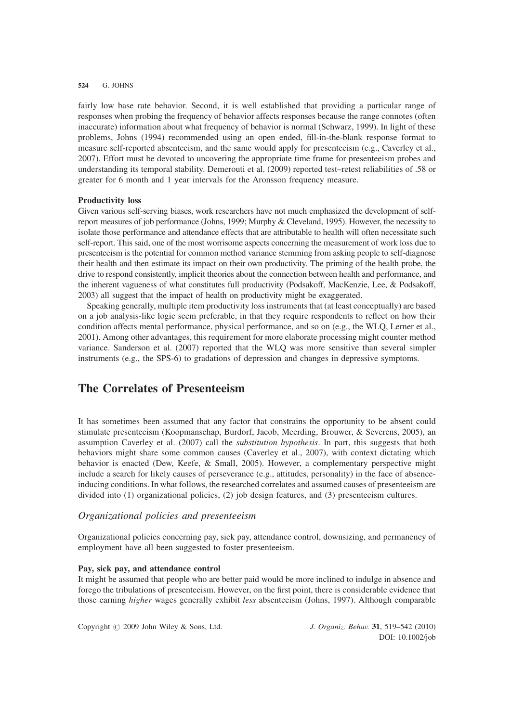fairly low base rate behavior. Second, it is well established that providing a particular range of responses when probing the frequency of behavior affects responses because the range connotes (often inaccurate) information about what frequency of behavior is normal (Schwarz, 1999). In light of these problems, Johns (1994) recommended using an open ended, fill-in-the-blank response format to measure self-reported absenteeism, and the same would apply for presenteeism (e.g., Caverley et al., 2007). Effort must be devoted to uncovering the appropriate time frame for presenteeism probes and understanding its temporal stability. Demerouti et al. (2009) reported test–retest reliabilities of .58 or greater for 6 month and 1 year intervals for the Aronsson frequency measure.

#### Productivity loss

Given various self-serving biases, work researchers have not much emphasized the development of selfreport measures of job performance (Johns, 1999; Murphy & Cleveland, 1995). However, the necessity to isolate those performance and attendance effects that are attributable to health will often necessitate such self-report. This said, one of the most worrisome aspects concerning the measurement of work loss due to presenteeism is the potential for common method variance stemming from asking people to self-diagnose their health and then estimate its impact on their own productivity. The priming of the health probe, the drive to respond consistently, implicit theories about the connection between health and performance, and the inherent vagueness of what constitutes full productivity (Podsakoff, MacKenzie, Lee, & Podsakoff, 2003) all suggest that the impact of health on productivity might be exaggerated.

Speaking generally, multiple item productivity loss instruments that (at least conceptually) are based on a job analysis-like logic seem preferable, in that they require respondents to reflect on how their condition affects mental performance, physical performance, and so on (e.g., the WLQ, Lerner et al., 2001). Among other advantages, this requirement for more elaborate processing might counter method variance. Sanderson et al. (2007) reported that the WLQ was more sensitive than several simpler instruments (e.g., the SPS-6) to gradations of depression and changes in depressive symptoms.

## The Correlates of Presenteeism

It has sometimes been assumed that any factor that constrains the opportunity to be absent could stimulate presenteeism (Koopmanschap, Burdorf, Jacob, Meerding, Brouwer, & Severens, 2005), an assumption Caverley et al. (2007) call the *substitution hypothesis*. In part, this suggests that both behaviors might share some common causes (Caverley et al., 2007), with context dictating which behavior is enacted (Dew, Keefe, & Small, 2005). However, a complementary perspective might include a search for likely causes of perseverance (e.g., attitudes, personality) in the face of absenceinducing conditions. In what follows, the researched correlates and assumed causes of presenteeism are divided into (1) organizational policies, (2) job design features, and (3) presenteeism cultures.

## Organizational policies and presenteeism

Organizational policies concerning pay, sick pay, attendance control, downsizing, and permanency of employment have all been suggested to foster presenteeism.

## Pay, sick pay, and attendance control

It might be assumed that people who are better paid would be more inclined to indulge in absence and forego the tribulations of presenteeism. However, on the first point, there is considerable evidence that those earning *higher* wages generally exhibit less absenteeism (Johns, 1997). Although comparable

Copyright  $\odot$  2009 John Wiley & Sons, Ltd. J. Organiz. Behav. 31, 519–542 (2010)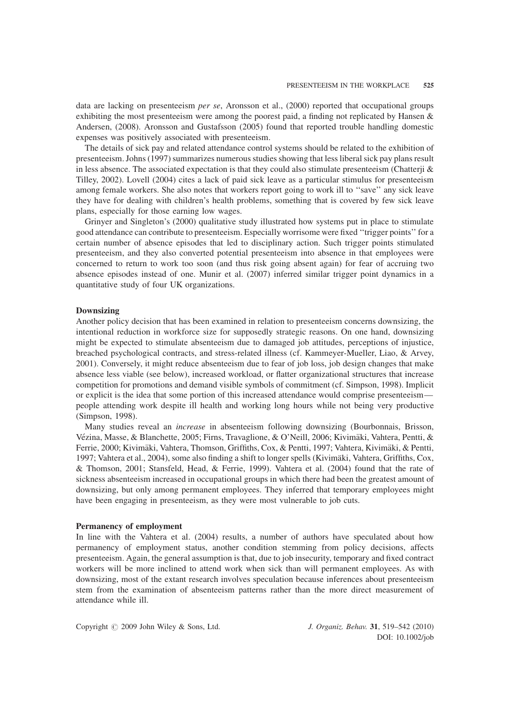data are lacking on presenteeism *per se*, Aronsson et al.,  $(2000)$  reported that occupational groups exhibiting the most presenteeism were among the poorest paid, a finding not replicated by Hansen & Andersen, (2008). Aronsson and Gustafsson (2005) found that reported trouble handling domestic expenses was positively associated with presenteeism.

The details of sick pay and related attendance control systems should be related to the exhibition of presenteeism. Johns (1997) summarizes numerous studies showing that less liberal sick pay plans result in less absence. The associated expectation is that they could also stimulate presenteeism (Chatterii  $\&$ Tilley, 2002). Lovell (2004) cites a lack of paid sick leave as a particular stimulus for presenteeism among female workers. She also notes that workers report going to work ill to ''save'' any sick leave they have for dealing with children's health problems, something that is covered by few sick leave plans, especially for those earning low wages.

Grinyer and Singleton's (2000) qualitative study illustrated how systems put in place to stimulate good attendance can contribute to presenteeism. Especially worrisome were fixed ''trigger points'' for a certain number of absence episodes that led to disciplinary action. Such trigger points stimulated presenteeism, and they also converted potential presenteeism into absence in that employees were concerned to return to work too soon (and thus risk going absent again) for fear of accruing two absence episodes instead of one. Munir et al. (2007) inferred similar trigger point dynamics in a quantitative study of four UK organizations.

#### Downsizing

Another policy decision that has been examined in relation to presenteeism concerns downsizing, the intentional reduction in workforce size for supposedly strategic reasons. On one hand, downsizing might be expected to stimulate absenteeism due to damaged job attitudes, perceptions of injustice, breached psychological contracts, and stress-related illness (cf. Kammeyer-Mueller, Liao, & Arvey, 2001). Conversely, it might reduce absenteeism due to fear of job loss, job design changes that make absence less viable (see below), increased workload, or flatter organizational structures that increase competition for promotions and demand visible symbols of commitment (cf. Simpson, 1998). Implicit or explicit is the idea that some portion of this increased attendance would comprise presenteeism people attending work despite ill health and working long hours while not being very productive (Simpson, 1998).

Many studies reveal an increase in absenteeism following downsizing (Bourbonnais, Brisson, Vézina, Masse, & Blanchette, 2005; Firns, Travaglione, & O'Neill, 2006; Kivimäki, Vahtera, Pentti, & Ferrie, 2000; Kivimäki, Vahtera, Thomson, Griffiths, Cox, & Pentti, 1997; Vahtera, Kivimäki, & Pentti, 1997; Vahtera et al., 2004), some also finding a shift to longer spells (Kivimäki, Vahtera, Griffiths, Cox, & Thomson, 2001; Stansfeld, Head, & Ferrie, 1999). Vahtera et al. (2004) found that the rate of sickness absenteeism increased in occupational groups in which there had been the greatest amount of downsizing, but only among permanent employees. They inferred that temporary employees might have been engaging in presenteeism, as they were most vulnerable to job cuts.

#### Permanency of employment

In line with the Vahtera et al. (2004) results, a number of authors have speculated about how permanency of employment status, another condition stemming from policy decisions, affects presenteeism. Again, the general assumption is that, due to job insecurity, temporary and fixed contract workers will be more inclined to attend work when sick than will permanent employees. As with downsizing, most of the extant research involves speculation because inferences about presenteeism stem from the examination of absenteeism patterns rather than the more direct measurement of attendance while ill.

Copyright  $\odot$  2009 John Wiley & Sons, Ltd. J. Organiz. Behav. 31, 519–542 (2010)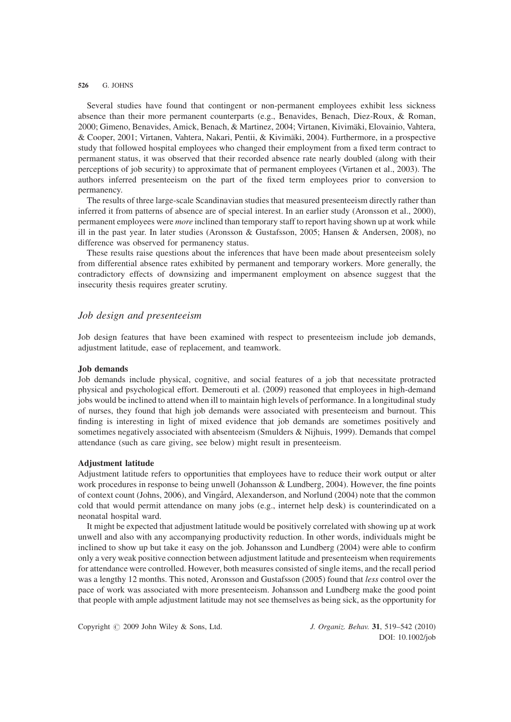Several studies have found that contingent or non-permanent employees exhibit less sickness absence than their more permanent counterparts (e.g., Benavides, Benach, Diez-Roux, & Roman, 2000; Gimeno, Benavides, Amick, Benach, & Martinez, 2004; Virtanen, Kivimäki, Elovainio, Vahtera, & Cooper, 2001; Virtanen, Vahtera, Nakari, Pentii, & Kivimäki, 2004). Furthermore, in a prospective study that followed hospital employees who changed their employment from a fixed term contract to permanent status, it was observed that their recorded absence rate nearly doubled (along with their perceptions of job security) to approximate that of permanent employees (Virtanen et al., 2003). The authors inferred presenteeism on the part of the fixed term employees prior to conversion to permanency.

The results of three large-scale Scandinavian studies that measured presenteeism directly rather than inferred it from patterns of absence are of special interest. In an earlier study (Aronsson et al., 2000), permanent employees were *more* inclined than temporary staff to report having shown up at work while ill in the past year. In later studies (Aronsson & Gustafsson, 2005; Hansen & Andersen, 2008), no difference was observed for permanency status.

These results raise questions about the inferences that have been made about presenteeism solely from differential absence rates exhibited by permanent and temporary workers. More generally, the contradictory effects of downsizing and impermanent employment on absence suggest that the insecurity thesis requires greater scrutiny.

## Job design and presenteeism

Job design features that have been examined with respect to presenteeism include job demands, adjustment latitude, ease of replacement, and teamwork.

#### Job demands

Job demands include physical, cognitive, and social features of a job that necessitate protracted physical and psychological effort. Demerouti et al. (2009) reasoned that employees in high-demand jobs would be inclined to attend when ill to maintain high levels of performance. In a longitudinal study of nurses, they found that high job demands were associated with presenteeism and burnout. This finding is interesting in light of mixed evidence that job demands are sometimes positively and sometimes negatively associated with absenteeism (Smulders & Nijhuis, 1999). Demands that compel attendance (such as care giving, see below) might result in presenteeism.

### Adjustment latitude

Adjustment latitude refers to opportunities that employees have to reduce their work output or alter work procedures in response to being unwell (Johansson & Lundberg, 2004). However, the fine points of context count (Johns, 2006), and Vingård, Alexanderson, and Norlund (2004) note that the common cold that would permit attendance on many jobs (e.g., internet help desk) is counterindicated on a neonatal hospital ward.

It might be expected that adjustment latitude would be positively correlated with showing up at work unwell and also with any accompanying productivity reduction. In other words, individuals might be inclined to show up but take it easy on the job. Johansson and Lundberg (2004) were able to confirm only a very weak positive connection between adjustment latitude and presenteeism when requirements for attendance were controlled. However, both measures consisted of single items, and the recall period was a lengthy 12 months. This noted, Aronsson and Gustafsson (2005) found that less control over the pace of work was associated with more presenteeism. Johansson and Lundberg make the good point that people with ample adjustment latitude may not see themselves as being sick, as the opportunity for

Copyright  $\odot$  2009 John Wiley & Sons, Ltd. J. Organiz. Behav. 31, 519–542 (2010)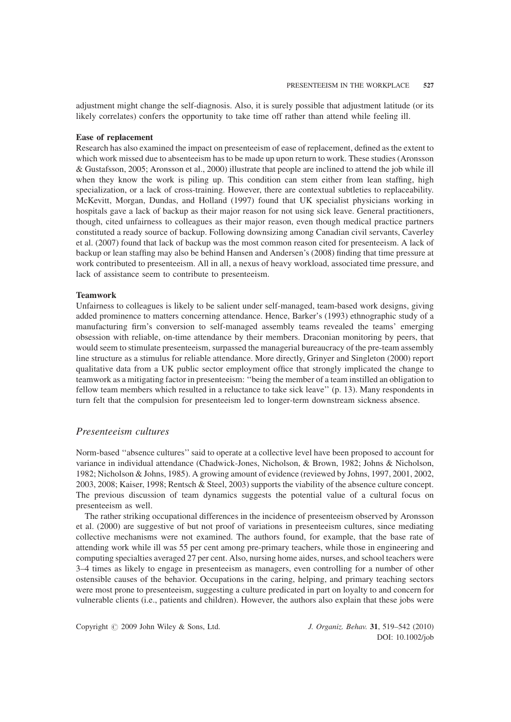adjustment might change the self-diagnosis. Also, it is surely possible that adjustment latitude (or its likely correlates) confers the opportunity to take time off rather than attend while feeling ill.

### Ease of replacement

Research has also examined the impact on presenteeism of ease of replacement, defined as the extent to which work missed due to absenteeism has to be made up upon return to work. These studies (Aronsson & Gustafsson, 2005; Aronsson et al., 2000) illustrate that people are inclined to attend the job while ill when they know the work is piling up. This condition can stem either from lean staffing, high specialization, or a lack of cross-training. However, there are contextual subtleties to replaceability. McKevitt, Morgan, Dundas, and Holland (1997) found that UK specialist physicians working in hospitals gave a lack of backup as their major reason for not using sick leave. General practitioners, though, cited unfairness to colleagues as their major reason, even though medical practice partners constituted a ready source of backup. Following downsizing among Canadian civil servants, Caverley et al. (2007) found that lack of backup was the most common reason cited for presenteeism. A lack of backup or lean staffing may also be behind Hansen and Andersen's (2008) finding that time pressure at work contributed to presenteeism. All in all, a nexus of heavy workload, associated time pressure, and lack of assistance seem to contribute to presenteeism.

#### Teamwork

Unfairness to colleagues is likely to be salient under self-managed, team-based work designs, giving added prominence to matters concerning attendance. Hence, Barker's (1993) ethnographic study of a manufacturing firm's conversion to self-managed assembly teams revealed the teams' emerging obsession with reliable, on-time attendance by their members. Draconian monitoring by peers, that would seem to stimulate presenteeism, surpassed the managerial bureaucracy of the pre-team assembly line structure as a stimulus for reliable attendance. More directly, Grinyer and Singleton (2000) report qualitative data from a UK public sector employment office that strongly implicated the change to teamwork as a mitigating factor in presenteeism: ''being the member of a team instilled an obligation to fellow team members which resulted in a reluctance to take sick leave'' (p. 13). Many respondents in turn felt that the compulsion for presenteeism led to longer-term downstream sickness absence.

## Presenteeism cultures

Norm-based ''absence cultures'' said to operate at a collective level have been proposed to account for variance in individual attendance (Chadwick-Jones, Nicholson, & Brown, 1982; Johns & Nicholson, 1982; Nicholson & Johns, 1985). A growing amount of evidence (reviewed by Johns, 1997, 2001, 2002, 2003, 2008; Kaiser, 1998; Rentsch & Steel, 2003) supports the viability of the absence culture concept. The previous discussion of team dynamics suggests the potential value of a cultural focus on presenteeism as well.

The rather striking occupational differences in the incidence of presenteeism observed by Aronsson et al. (2000) are suggestive of but not proof of variations in presenteeism cultures, since mediating collective mechanisms were not examined. The authors found, for example, that the base rate of attending work while ill was 55 per cent among pre-primary teachers, while those in engineering and computing specialties averaged 27 per cent. Also, nursing home aides, nurses, and school teachers were 3–4 times as likely to engage in presenteeism as managers, even controlling for a number of other ostensible causes of the behavior. Occupations in the caring, helping, and primary teaching sectors were most prone to presenteeism, suggesting a culture predicated in part on loyalty to and concern for vulnerable clients (i.e., patients and children). However, the authors also explain that these jobs were

Copyright  $\odot$  2009 John Wiley & Sons, Ltd. J. Organiz. Behav. 31, 519–542 (2010)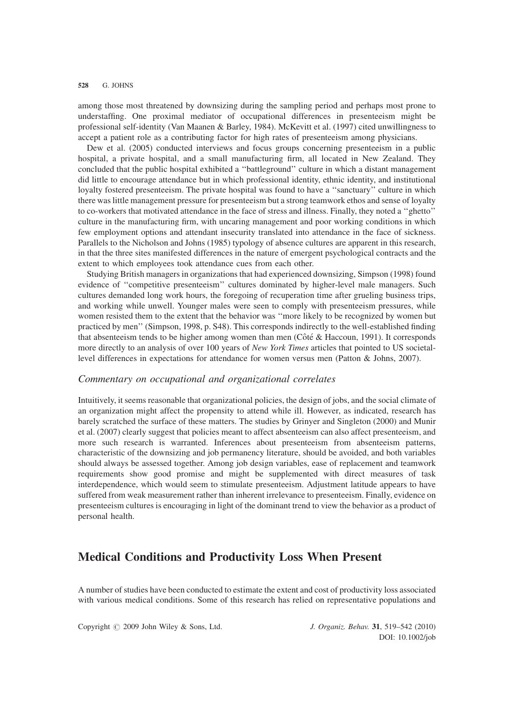among those most threatened by downsizing during the sampling period and perhaps most prone to understaffing. One proximal mediator of occupational differences in presenteeism might be professional self-identity (Van Maanen & Barley, 1984). McKevitt et al. (1997) cited unwillingness to accept a patient role as a contributing factor for high rates of presenteeism among physicians.

Dew et al. (2005) conducted interviews and focus groups concerning presenteeism in a public hospital, a private hospital, and a small manufacturing firm, all located in New Zealand. They concluded that the public hospital exhibited a ''battleground'' culture in which a distant management did little to encourage attendance but in which professional identity, ethnic identity, and institutional loyalty fostered presenteeism. The private hospital was found to have a ''sanctuary'' culture in which there was little management pressure for presenteeism but a strong teamwork ethos and sense of loyalty to co-workers that motivated attendance in the face of stress and illness. Finally, they noted a ''ghetto'' culture in the manufacturing firm, with uncaring management and poor working conditions in which few employment options and attendant insecurity translated into attendance in the face of sickness. Parallels to the Nicholson and Johns (1985) typology of absence cultures are apparent in this research, in that the three sites manifested differences in the nature of emergent psychological contracts and the extent to which employees took attendance cues from each other.

Studying British managers in organizations that had experienced downsizing, Simpson (1998) found evidence of ''competitive presenteeism'' cultures dominated by higher-level male managers. Such cultures demanded long work hours, the foregoing of recuperation time after grueling business trips, and working while unwell. Younger males were seen to comply with presenteeism pressures, while women resisted them to the extent that the behavior was ''more likely to be recognized by women but practiced by men'' (Simpson, 1998, p. S48). This corresponds indirectly to the well-established finding that absenteeism tends to be higher among women than men (Côté & Haccoun, 1991). It corresponds more directly to an analysis of over 100 years of New York Times articles that pointed to US societallevel differences in expectations for attendance for women versus men (Patton & Johns, 2007).

## Commentary on occupational and organizational correlates

Intuitively, it seems reasonable that organizational policies, the design of jobs, and the social climate of an organization might affect the propensity to attend while ill. However, as indicated, research has barely scratched the surface of these matters. The studies by Grinyer and Singleton (2000) and Munir et al. (2007) clearly suggest that policies meant to affect absenteeism can also affect presenteeism, and more such research is warranted. Inferences about presenteeism from absenteeism patterns, characteristic of the downsizing and job permanency literature, should be avoided, and both variables should always be assessed together. Among job design variables, ease of replacement and teamwork requirements show good promise and might be supplemented with direct measures of task interdependence, which would seem to stimulate presenteeism. Adjustment latitude appears to have suffered from weak measurement rather than inherent irrelevance to presenteeism. Finally, evidence on presenteeism cultures is encouraging in light of the dominant trend to view the behavior as a product of personal health.

## Medical Conditions and Productivity Loss When Present

A number of studies have been conducted to estimate the extent and cost of productivity loss associated with various medical conditions. Some of this research has relied on representative populations and

Copyright  $\odot$  2009 John Wiley & Sons, Ltd. J. Organiz. Behav. 31, 519–542 (2010)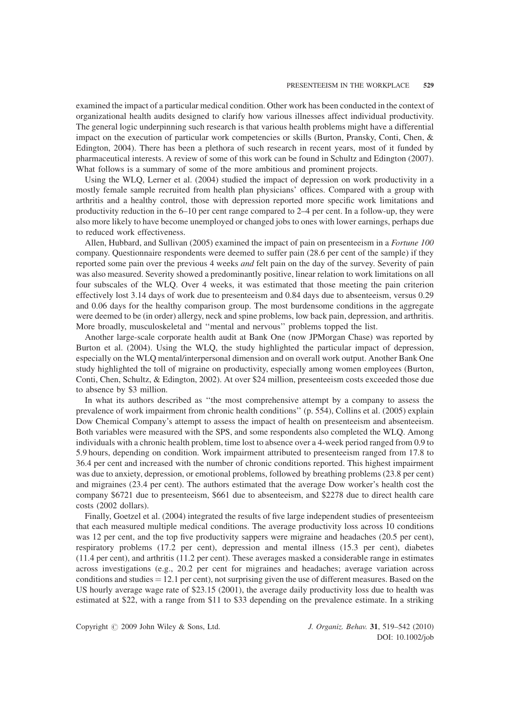examined the impact of a particular medical condition. Other work has been conducted in the context of organizational health audits designed to clarify how various illnesses affect individual productivity. The general logic underpinning such research is that various health problems might have a differential impact on the execution of particular work competencies or skills (Burton, Pransky, Conti, Chen, & Edington, 2004). There has been a plethora of such research in recent years, most of it funded by pharmaceutical interests. A review of some of this work can be found in Schultz and Edington (2007). What follows is a summary of some of the more ambitious and prominent projects.

Using the WLQ, Lerner et al. (2004) studied the impact of depression on work productivity in a mostly female sample recruited from health plan physicians' offices. Compared with a group with arthritis and a healthy control, those with depression reported more specific work limitations and productivity reduction in the 6–10 per cent range compared to 2–4 per cent. In a follow-up, they were also more likely to have become unemployed or changed jobs to ones with lower earnings, perhaps due to reduced work effectiveness.

Allen, Hubbard, and Sullivan (2005) examined the impact of pain on presenteeism in a Fortune 100 company. Questionnaire respondents were deemed to suffer pain (28.6 per cent of the sample) if they reported some pain over the previous 4 weeks and felt pain on the day of the survey. Severity of pain was also measured. Severity showed a predominantly positive, linear relation to work limitations on all four subscales of the WLQ. Over 4 weeks, it was estimated that those meeting the pain criterion effectively lost 3.14 days of work due to presenteeism and 0.84 days due to absenteeism, versus 0.29 and 0.06 days for the healthy comparison group. The most burdensome conditions in the aggregate were deemed to be (in order) allergy, neck and spine problems, low back pain, depression, and arthritis. More broadly, musculoskeletal and ''mental and nervous'' problems topped the list.

Another large-scale corporate health audit at Bank One (now JPMorgan Chase) was reported by Burton et al. (2004). Using the WLQ, the study highlighted the particular impact of depression, especially on the WLQ mental/interpersonal dimension and on overall work output. Another Bank One study highlighted the toll of migraine on productivity, especially among women employees (Burton, Conti, Chen, Schultz, & Edington, 2002). At over \$24 million, presenteeism costs exceeded those due to absence by \$3 million.

In what its authors described as ''the most comprehensive attempt by a company to assess the prevalence of work impairment from chronic health conditions'' (p. 554), Collins et al. (2005) explain Dow Chemical Company's attempt to assess the impact of health on presenteeism and absenteeism. Both variables were measured with the SPS, and some respondents also completed the WLQ. Among individuals with a chronic health problem, time lost to absence over a 4-week period ranged from 0.9 to 5.9 hours, depending on condition. Work impairment attributed to presenteeism ranged from 17.8 to 36.4 per cent and increased with the number of chronic conditions reported. This highest impairment was due to anxiety, depression, or emotional problems, followed by breathing problems (23.8 per cent) and migraines (23.4 per cent). The authors estimated that the average Dow worker's health cost the company \$6721 due to presenteeism, \$661 due to absenteeism, and \$2278 due to direct health care costs (2002 dollars).

Finally, Goetzel et al. (2004) integrated the results of five large independent studies of presenteeism that each measured multiple medical conditions. The average productivity loss across 10 conditions was 12 per cent, and the top five productivity sappers were migraine and headaches (20.5 per cent), respiratory problems (17.2 per cent), depression and mental illness (15.3 per cent), diabetes (11.4 per cent), and arthritis (11.2 per cent). These averages masked a considerable range in estimates across investigations (e.g., 20.2 per cent for migraines and headaches; average variation across conditions and studies  $= 12.1$  per cent), not surprising given the use of different measures. Based on the US hourly average wage rate of \$23.15 (2001), the average daily productivity loss due to health was estimated at \$22, with a range from \$11 to \$33 depending on the prevalence estimate. In a striking

Copyright © 2009 John Wiley & Sons, Ltd. J. Organiz. Behav. 31, 519-542 (2010)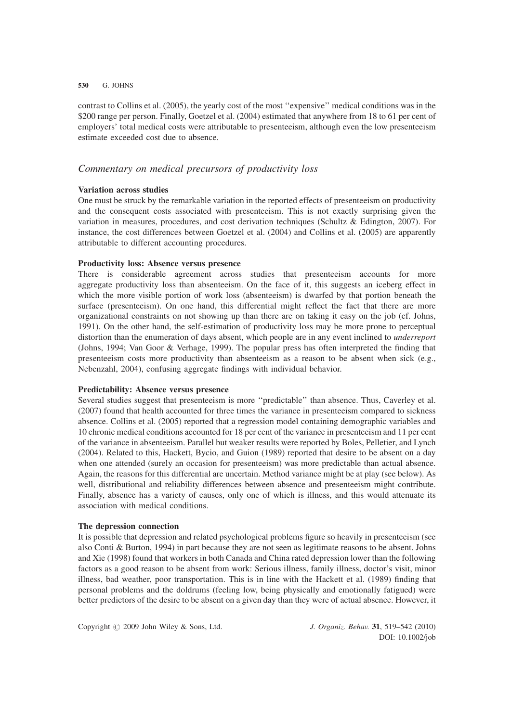contrast to Collins et al. (2005), the yearly cost of the most ''expensive'' medical conditions was in the \$200 range per person. Finally, Goetzel et al. (2004) estimated that anywhere from 18 to 61 per cent of employers' total medical costs were attributable to presenteeism, although even the low presenteeism estimate exceeded cost due to absence.

## Commentary on medical precursors of productivity loss

## Variation across studies

One must be struck by the remarkable variation in the reported effects of presenteeism on productivity and the consequent costs associated with presenteeism. This is not exactly surprising given the variation in measures, procedures, and cost derivation techniques (Schultz & Edington, 2007). For instance, the cost differences between Goetzel et al. (2004) and Collins et al. (2005) are apparently attributable to different accounting procedures.

## Productivity loss: Absence versus presence

There is considerable agreement across studies that presenteeism accounts for more aggregate productivity loss than absenteeism. On the face of it, this suggests an iceberg effect in which the more visible portion of work loss (absenteeism) is dwarfed by that portion beneath the surface (presenteeism). On one hand, this differential might reflect the fact that there are more organizational constraints on not showing up than there are on taking it easy on the job (cf. Johns, 1991). On the other hand, the self-estimation of productivity loss may be more prone to perceptual distortion than the enumeration of days absent, which people are in any event inclined to *underreport* (Johns, 1994; Van Goor & Verhage, 1999). The popular press has often interpreted the finding that presenteeism costs more productivity than absenteeism as a reason to be absent when sick (e.g., Nebenzahl, 2004), confusing aggregate findings with individual behavior.

## Predictability: Absence versus presence

Several studies suggest that presenteeism is more ''predictable'' than absence. Thus, Caverley et al. (2007) found that health accounted for three times the variance in presenteeism compared to sickness absence. Collins et al. (2005) reported that a regression model containing demographic variables and 10 chronic medical conditions accounted for 18 per cent of the variance in presenteeism and 11 per cent of the variance in absenteeism. Parallel but weaker results were reported by Boles, Pelletier, and Lynch (2004). Related to this, Hackett, Bycio, and Guion (1989) reported that desire to be absent on a day when one attended (surely an occasion for presenteeism) was more predictable than actual absence. Again, the reasons for this differential are uncertain. Method variance might be at play (see below). As well, distributional and reliability differences between absence and presenteeism might contribute. Finally, absence has a variety of causes, only one of which is illness, and this would attenuate its association with medical conditions.

### The depression connection

It is possible that depression and related psychological problems figure so heavily in presenteeism (see also Conti & Burton, 1994) in part because they are not seen as legitimate reasons to be absent. Johns and Xie (1998) found that workers in both Canada and China rated depression lower than the following factors as a good reason to be absent from work: Serious illness, family illness, doctor's visit, minor illness, bad weather, poor transportation. This is in line with the Hackett et al. (1989) finding that personal problems and the doldrums (feeling low, being physically and emotionally fatigued) were better predictors of the desire to be absent on a given day than they were of actual absence. However, it

Copyright  $\odot$  2009 John Wiley & Sons, Ltd. J. Organiz. Behav. 31, 519–542 (2010)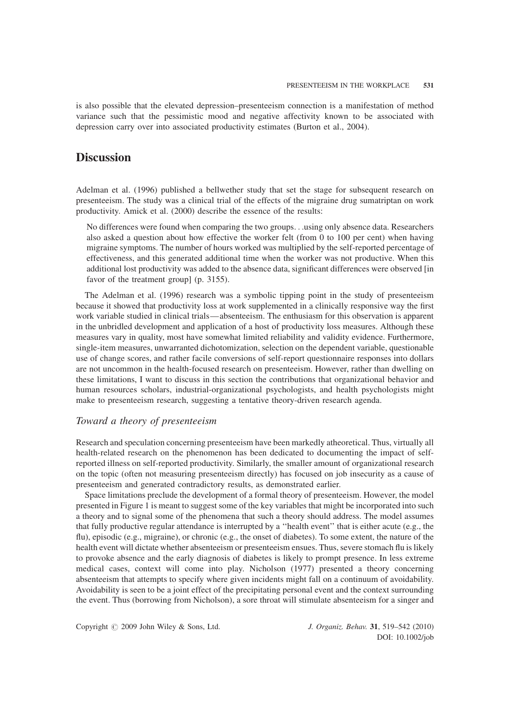is also possible that the elevated depression–presenteeism connection is a manifestation of method variance such that the pessimistic mood and negative affectivity known to be associated with depression carry over into associated productivity estimates (Burton et al., 2004).

## **Discussion**

Adelman et al. (1996) published a bellwether study that set the stage for subsequent research on presenteeism. The study was a clinical trial of the effects of the migraine drug sumatriptan on work productivity. Amick et al. (2000) describe the essence of the results:

No differences were found when comparing the two groups...using only absence data. Researchers also asked a question about how effective the worker felt (from 0 to 100 per cent) when having migraine symptoms. The number of hours worked was multiplied by the self-reported percentage of effectiveness, and this generated additional time when the worker was not productive. When this additional lost productivity was added to the absence data, significant differences were observed [in favor of the treatment group] (p. 3155).

The Adelman et al. (1996) research was a symbolic tipping point in the study of presenteeism because it showed that productivity loss at work supplemented in a clinically responsive way the first work variable studied in clinical trials—absenteeism. The enthusiasm for this observation is apparent in the unbridled development and application of a host of productivity loss measures. Although these measures vary in quality, most have somewhat limited reliability and validity evidence. Furthermore, single-item measures, unwarranted dichotomization, selection on the dependent variable, questionable use of change scores, and rather facile conversions of self-report questionnaire responses into dollars are not uncommon in the health-focused research on presenteeism. However, rather than dwelling on these limitations, I want to discuss in this section the contributions that organizational behavior and human resources scholars, industrial-organizational psychologists, and health psychologists might make to presenteeism research, suggesting a tentative theory-driven research agenda.

## Toward a theory of presenteeism

Research and speculation concerning presenteeism have been markedly atheoretical. Thus, virtually all health-related research on the phenomenon has been dedicated to documenting the impact of selfreported illness on self-reported productivity. Similarly, the smaller amount of organizational research on the topic (often not measuring presenteeism directly) has focused on job insecurity as a cause of presenteeism and generated contradictory results, as demonstrated earlier.

Space limitations preclude the development of a formal theory of presenteeism. However, the model presented in Figure 1 is meant to suggest some of the key variables that might be incorporated into such a theory and to signal some of the phenomena that such a theory should address. The model assumes that fully productive regular attendance is interrupted by a ''health event'' that is either acute (e.g., the flu), episodic (e.g., migraine), or chronic (e.g., the onset of diabetes). To some extent, the nature of the health event will dictate whether absenteeism or presenteeism ensues. Thus, severe stomach flu is likely to provoke absence and the early diagnosis of diabetes is likely to prompt presence. In less extreme medical cases, context will come into play. Nicholson (1977) presented a theory concerning absenteeism that attempts to specify where given incidents might fall on a continuum of avoidability. Avoidability is seen to be a joint effect of the precipitating personal event and the context surrounding the event. Thus (borrowing from Nicholson), a sore throat will stimulate absenteeism for a singer and

Copyright © 2009 John Wiley & Sons, Ltd. J. Organiz. Behav. 31, 519-542 (2010)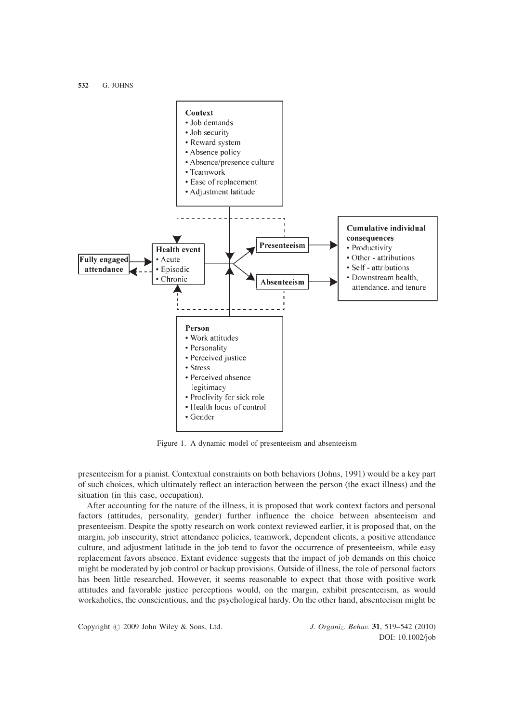

Figure 1. A dynamic model of presenteeism and absenteeism

presenteeism for a pianist. Contextual constraints on both behaviors (Johns, 1991) would be a key part of such choices, which ultimately reflect an interaction between the person (the exact illness) and the situation (in this case, occupation).

After accounting for the nature of the illness, it is proposed that work context factors and personal factors (attitudes, personality, gender) further influence the choice between absenteeism and presenteeism. Despite the spotty research on work context reviewed earlier, it is proposed that, on the margin, job insecurity, strict attendance policies, teamwork, dependent clients, a positive attendance culture, and adjustment latitude in the job tend to favor the occurrence of presenteeism, while easy replacement favors absence. Extant evidence suggests that the impact of job demands on this choice might be moderated by job control or backup provisions. Outside of illness, the role of personal factors has been little researched. However, it seems reasonable to expect that those with positive work attitudes and favorable justice perceptions would, on the margin, exhibit presenteeism, as would workaholics, the conscientious, and the psychological hardy. On the other hand, absenteeism might be

Copyright  $\odot$  2009 John Wiley & Sons, Ltd. J. Organiz. Behav. 31, 519–542 (2010)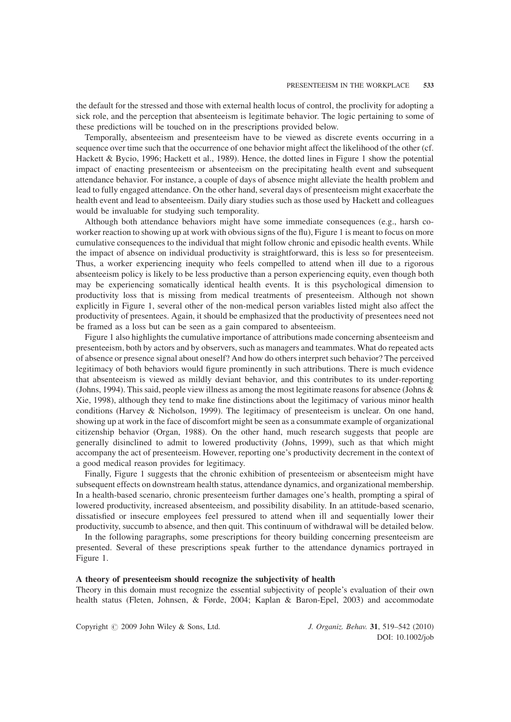the default for the stressed and those with external health locus of control, the proclivity for adopting a sick role, and the perception that absenteeism is legitimate behavior. The logic pertaining to some of these predictions will be touched on in the prescriptions provided below.

Temporally, absenteeism and presenteeism have to be viewed as discrete events occurring in a sequence over time such that the occurrence of one behavior might affect the likelihood of the other (cf. Hackett & Bycio, 1996; Hackett et al., 1989). Hence, the dotted lines in Figure 1 show the potential impact of enacting presenteeism or absenteeism on the precipitating health event and subsequent attendance behavior. For instance, a couple of days of absence might alleviate the health problem and lead to fully engaged attendance. On the other hand, several days of presenteeism might exacerbate the health event and lead to absenteeism. Daily diary studies such as those used by Hackett and colleagues would be invaluable for studying such temporality.

Although both attendance behaviors might have some immediate consequences (e.g., harsh coworker reaction to showing up at work with obvious signs of the flu), Figure 1 is meant to focus on more cumulative consequences to the individual that might follow chronic and episodic health events. While the impact of absence on individual productivity is straightforward, this is less so for presenteeism. Thus, a worker experiencing inequity who feels compelled to attend when ill due to a rigorous absenteeism policy is likely to be less productive than a person experiencing equity, even though both may be experiencing somatically identical health events. It is this psychological dimension to productivity loss that is missing from medical treatments of presenteeism. Although not shown explicitly in Figure 1, several other of the non-medical person variables listed might also affect the productivity of presentees. Again, it should be emphasized that the productivity of presentees need not be framed as a loss but can be seen as a gain compared to absenteeism.

Figure 1 also highlights the cumulative importance of attributions made concerning absenteeism and presenteeism, both by actors and by observers, such as managers and teammates. What do repeated acts of absence or presence signal about oneself? And how do others interpret such behavior? The perceived legitimacy of both behaviors would figure prominently in such attributions. There is much evidence that absenteeism is viewed as mildly deviant behavior, and this contributes to its under-reporting (Johns, 1994). This said, people view illness as among the most legitimate reasons for absence (Johns & Xie, 1998), although they tend to make fine distinctions about the legitimacy of various minor health conditions (Harvey & Nicholson, 1999). The legitimacy of presenteeism is unclear. On one hand, showing up at work in the face of discomfort might be seen as a consummate example of organizational citizenship behavior (Organ, 1988). On the other hand, much research suggests that people are generally disinclined to admit to lowered productivity (Johns, 1999), such as that which might accompany the act of presenteeism. However, reporting one's productivity decrement in the context of a good medical reason provides for legitimacy.

Finally, Figure 1 suggests that the chronic exhibition of presenteeism or absenteeism might have subsequent effects on downstream health status, attendance dynamics, and organizational membership. In a health-based scenario, chronic presenteeism further damages one's health, prompting a spiral of lowered productivity, increased absenteeism, and possibility disability. In an attitude-based scenario, dissatisfied or insecure employees feel pressured to attend when ill and sequentially lower their productivity, succumb to absence, and then quit. This continuum of withdrawal will be detailed below.

In the following paragraphs, some prescriptions for theory building concerning presenteeism are presented. Several of these prescriptions speak further to the attendance dynamics portrayed in Figure 1.

### A theory of presenteeism should recognize the subjectivity of health

Theory in this domain must recognize the essential subjectivity of people's evaluation of their own health status (Fleten, Johnsen, & Førde, 2004; Kaplan & Baron-Epel, 2003) and accommodate

Copyright © 2009 John Wiley & Sons, Ltd. J. Organiz. Behav. 31, 519-542 (2010)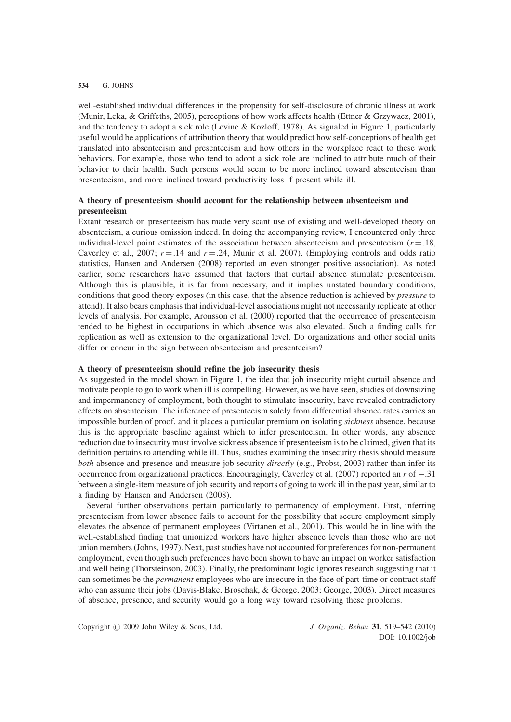well-established individual differences in the propensity for self-disclosure of chronic illness at work (Munir, Leka, & Griffeths, 2005), perceptions of how work affects health (Ettner & Grzywacz, 2001), and the tendency to adopt a sick role (Levine & Kozloff, 1978). As signaled in Figure 1, particularly useful would be applications of attribution theory that would predict how self-conceptions of health get translated into absenteeism and presenteeism and how others in the workplace react to these work behaviors. For example, those who tend to adopt a sick role are inclined to attribute much of their behavior to their health. Such persons would seem to be more inclined toward absenteeism than presenteeism, and more inclined toward productivity loss if present while ill.

## A theory of presenteeism should account for the relationship between absenteeism and presenteeism

Extant research on presenteeism has made very scant use of existing and well-developed theory on absenteeism, a curious omission indeed. In doing the accompanying review, I encountered only three individual-level point estimates of the association between absenteeism and presenteeism  $(r = .18, )$ Caverley et al., 2007;  $r = .14$  and  $r = .24$ , Munir et al. 2007). (Employing controls and odds ratio statistics, Hansen and Andersen (2008) reported an even stronger positive association). As noted earlier, some researchers have assumed that factors that curtail absence stimulate presenteeism. Although this is plausible, it is far from necessary, and it implies unstated boundary conditions, conditions that good theory exposes (in this case, that the absence reduction is achieved by *pressure* to attend). It also bears emphasis that individual-level associations might not necessarily replicate at other levels of analysis. For example, Aronsson et al. (2000) reported that the occurrence of presenteeism tended to be highest in occupations in which absence was also elevated. Such a finding calls for replication as well as extension to the organizational level. Do organizations and other social units differ or concur in the sign between absenteeism and presenteeism?

#### A theory of presenteeism should refine the job insecurity thesis

As suggested in the model shown in Figure 1, the idea that job insecurity might curtail absence and motivate people to go to work when ill is compelling. However, as we have seen, studies of downsizing and impermanency of employment, both thought to stimulate insecurity, have revealed contradictory effects on absenteeism. The inference of presenteeism solely from differential absence rates carries an impossible burden of proof, and it places a particular premium on isolating *sickness* absence, because this is the appropriate baseline against which to infer presenteeism. In other words, any absence reduction due to insecurity must involve sickness absence if presenteeism is to be claimed, given that its definition pertains to attending while ill. Thus, studies examining the insecurity thesis should measure both absence and presence and measure job security *directly* (e.g., Probst, 2003) rather than infer its occurrence from organizational practices. Encouragingly, Caverley et al. (2007) reported an  $r$  of  $-.31$ between a single-item measure of job security and reports of going to work ill in the past year, similar to a finding by Hansen and Andersen (2008).

Several further observations pertain particularly to permanency of employment. First, inferring presenteeism from lower absence fails to account for the possibility that secure employment simply elevates the absence of permanent employees (Virtanen et al., 2001). This would be in line with the well-established finding that unionized workers have higher absence levels than those who are not union members (Johns, 1997). Next, past studies have not accounted for preferences for non-permanent employment, even though such preferences have been shown to have an impact on worker satisfaction and well being (Thorsteinson, 2003). Finally, the predominant logic ignores research suggesting that it can sometimes be the *permanent* employees who are insecure in the face of part-time or contract staff who can assume their jobs (Davis-Blake, Broschak, & George, 2003; George, 2003). Direct measures of absence, presence, and security would go a long way toward resolving these problems.

Copyright  $\odot$  2009 John Wiley & Sons, Ltd. J. Organiz. Behav. 31, 519–542 (2010)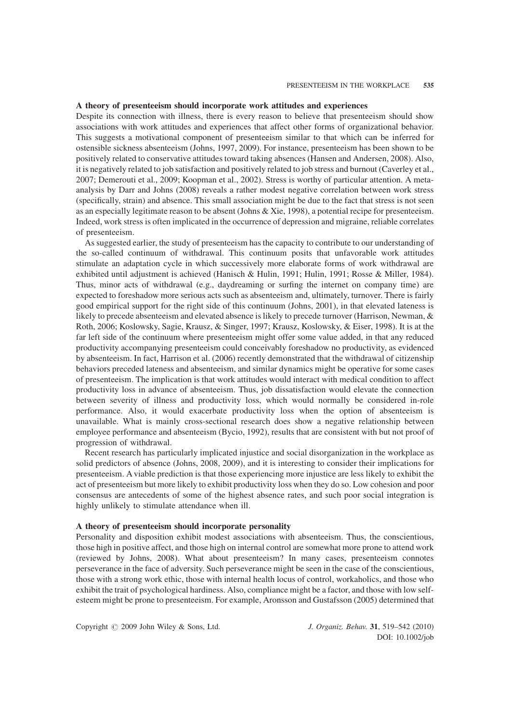#### A theory of presenteeism should incorporate work attitudes and experiences

Despite its connection with illness, there is every reason to believe that presenteeism should show associations with work attitudes and experiences that affect other forms of organizational behavior. This suggests a motivational component of presenteeism similar to that which can be inferred for ostensible sickness absenteeism (Johns, 1997, 2009). For instance, presenteeism has been shown to be positively related to conservative attitudes toward taking absences (Hansen and Andersen, 2008). Also, it is negatively related to job satisfaction and positively related to job stress and burnout (Caverley et al., 2007; Demerouti et al., 2009; Koopman et al., 2002). Stress is worthy of particular attention. A metaanalysis by Darr and Johns (2008) reveals a rather modest negative correlation between work stress (specifically, strain) and absence. This small association might be due to the fact that stress is not seen as an especially legitimate reason to be absent (Johns & Xie, 1998), a potential recipe for presenteeism. Indeed, work stress is often implicated in the occurrence of depression and migraine, reliable correlates of presenteeism.

As suggested earlier, the study of presenteeism has the capacity to contribute to our understanding of the so-called continuum of withdrawal. This continuum posits that unfavorable work attitudes stimulate an adaptation cycle in which successively more elaborate forms of work withdrawal are exhibited until adjustment is achieved (Hanisch & Hulin, 1991; Hulin, 1991; Rosse & Miller, 1984). Thus, minor acts of withdrawal (e.g., daydreaming or surfing the internet on company time) are expected to foreshadow more serious acts such as absenteeism and, ultimately, turnover. There is fairly good empirical support for the right side of this continuum (Johns, 2001), in that elevated lateness is likely to precede absenteeism and elevated absence is likely to precede turnover (Harrison, Newman, & Roth, 2006; Koslowsky, Sagie, Krausz, & Singer, 1997; Krausz, Koslowsky, & Eiser, 1998). It is at the far left side of the continuum where presenteeism might offer some value added, in that any reduced productivity accompanying presenteeism could conceivably foreshadow no productivity, as evidenced by absenteeism. In fact, Harrison et al. (2006) recently demonstrated that the withdrawal of citizenship behaviors preceded lateness and absenteeism, and similar dynamics might be operative for some cases of presenteeism. The implication is that work attitudes would interact with medical condition to affect productivity loss in advance of absenteeism. Thus, job dissatisfaction would elevate the connection between severity of illness and productivity loss, which would normally be considered in-role performance. Also, it would exacerbate productivity loss when the option of absenteeism is unavailable. What is mainly cross-sectional research does show a negative relationship between employee performance and absenteeism (Bycio, 1992), results that are consistent with but not proof of progression of withdrawal.

Recent research has particularly implicated injustice and social disorganization in the workplace as solid predictors of absence (Johns, 2008, 2009), and it is interesting to consider their implications for presenteeism. A viable prediction is that those experiencing more injustice are less likely to exhibit the act of presenteeism but more likely to exhibit productivity loss when they do so. Low cohesion and poor consensus are antecedents of some of the highest absence rates, and such poor social integration is highly unlikely to stimulate attendance when ill.

#### A theory of presenteeism should incorporate personality

Personality and disposition exhibit modest associations with absenteeism. Thus, the conscientious, those high in positive affect, and those high on internal control are somewhat more prone to attend work (reviewed by Johns, 2008). What about presenteeism? In many cases, presenteeism connotes perseverance in the face of adversity. Such perseverance might be seen in the case of the conscientious, those with a strong work ethic, those with internal health locus of control, workaholics, and those who exhibit the trait of psychological hardiness. Also, compliance might be a factor, and those with low selfesteem might be prone to presenteeism. For example, Aronsson and Gustafsson (2005) determined that

Copyright © 2009 John Wiley & Sons, Ltd. J. Organiz. Behav. 31, 519-542 (2010)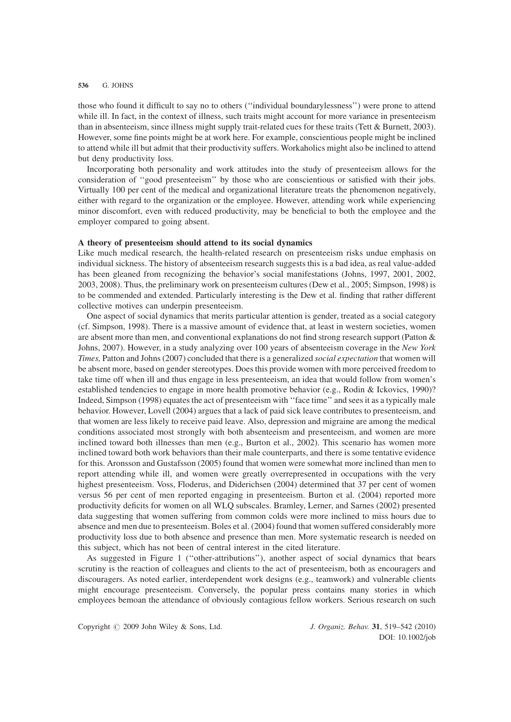those who found it difficult to say no to others (''individual boundarylessness'') were prone to attend while ill. In fact, in the context of illness, such traits might account for more variance in presenteeism than in absenteeism, since illness might supply trait-related cues for these traits (Tett & Burnett, 2003). However, some fine points might be at work here. For example, conscientious people might be inclined to attend while ill but admit that their productivity suffers. Workaholics might also be inclined to attend but deny productivity loss.

Incorporating both personality and work attitudes into the study of presenteeism allows for the consideration of ''good presenteeism'' by those who are conscientious or satisfied with their jobs. Virtually 100 per cent of the medical and organizational literature treats the phenomenon negatively, either with regard to the organization or the employee. However, attending work while experiencing minor discomfort, even with reduced productivity, may be beneficial to both the employee and the employer compared to going absent.

### A theory of presenteeism should attend to its social dynamics

Like much medical research, the health-related research on presenteeism risks undue emphasis on individual sickness. The history of absenteeism research suggests this is a bad idea, as real value-added has been gleaned from recognizing the behavior's social manifestations (Johns, 1997, 2001, 2002, 2003, 2008). Thus, the preliminary work on presenteeism cultures (Dew et al., 2005; Simpson, 1998) is to be commended and extended. Particularly interesting is the Dew et al. finding that rather different collective motives can underpin presenteeism.

One aspect of social dynamics that merits particular attention is gender, treated as a social category (cf. Simpson, 1998). There is a massive amount of evidence that, at least in western societies, women are absent more than men, and conventional explanations do not find strong research support (Patton  $\&$ Johns, 2007). However, in a study analyzing over 100 years of absenteeism coverage in the New York Times, Patton and Johns (2007) concluded that there is a generalized *social expectation* that women will be absent more, based on gender stereotypes. Does this provide women with more perceived freedom to take time off when ill and thus engage in less presenteeism, an idea that would follow from women's established tendencies to engage in more health promotive behavior (e.g., Rodin & Ickovics, 1990)? Indeed, Simpson (1998) equates the act of presenteeism with ''face time'' and sees it as a typically male behavior. However, Lovell (2004) argues that a lack of paid sick leave contributes to presenteeism, and that women are less likely to receive paid leave. Also, depression and migraine are among the medical conditions associated most strongly with both absenteeism and presenteeism, and women are more inclined toward both illnesses than men (e.g., Burton et al., 2002). This scenario has women more inclined toward both work behaviors than their male counterparts, and there is some tentative evidence for this. Aronsson and Gustafsson (2005) found that women were somewhat more inclined than men to report attending while ill, and women were greatly overrepresented in occupations with the very highest presenteeism. Voss, Floderus, and Diderichsen (2004) determined that 37 per cent of women versus 56 per cent of men reported engaging in presenteeism. Burton et al. (2004) reported more productivity deficits for women on all WLQ subscales. Bramley, Lerner, and Sarnes (2002) presented data suggesting that women suffering from common colds were more inclined to miss hours due to absence and men due to presenteeism. Boles et al. (2004) found that women suffered considerably more productivity loss due to both absence and presence than men. More systematic research is needed on this subject, which has not been of central interest in the cited literature.

As suggested in Figure 1 (''other-attributions''), another aspect of social dynamics that bears scrutiny is the reaction of colleagues and clients to the act of presenteeism, both as encouragers and discouragers. As noted earlier, interdependent work designs (e.g., teamwork) and vulnerable clients might encourage presenteeism. Conversely, the popular press contains many stories in which employees bemoan the attendance of obviously contagious fellow workers. Serious research on such

Copyright  $\odot$  2009 John Wiley & Sons, Ltd. J. Organiz. Behav. 31, 519–542 (2010)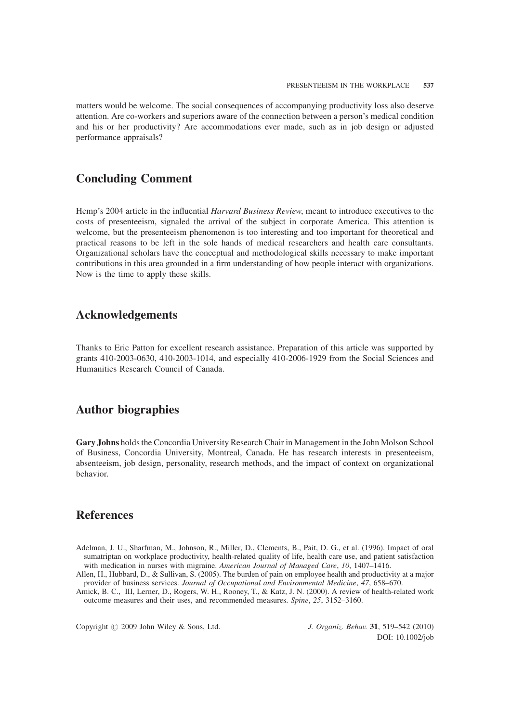matters would be welcome. The social consequences of accompanying productivity loss also deserve attention. Are co-workers and superiors aware of the connection between a person's medical condition and his or her productivity? Are accommodations ever made, such as in job design or adjusted performance appraisals?

## Concluding Comment

Hemp's 2004 article in the influential Harvard Business Review, meant to introduce executives to the costs of presenteeism, signaled the arrival of the subject in corporate America. This attention is welcome, but the presenteeism phenomenon is too interesting and too important for theoretical and practical reasons to be left in the sole hands of medical researchers and health care consultants. Organizational scholars have the conceptual and methodological skills necessary to make important contributions in this area grounded in a firm understanding of how people interact with organizations. Now is the time to apply these skills.

## Acknowledgements

Thanks to Eric Patton for excellent research assistance. Preparation of this article was supported by grants 410-2003-0630, 410-2003-1014, and especially 410-2006-1929 from the Social Sciences and Humanities Research Council of Canada.

## Author biographies

Gary Johns holds the Concordia University Research Chair in Management in the John Molson School of Business, Concordia University, Montreal, Canada. He has research interests in presenteeism, absenteeism, job design, personality, research methods, and the impact of context on organizational behavior.

## References

Adelman, J. U., Sharfman, M., Johnson, R., Miller, D., Clements, B., Pait, D. G., et al. (1996). Impact of oral sumatriptan on workplace productivity, health-related quality of life, health care use, and patient satisfaction with medication in nurses with migraine. American Journal of Managed Care, 10, 1407-1416.

Allen, H., Hubbard, D., & Sullivan, S. (2005). The burden of pain on employee health and productivity at a major provider of business services. Journal of Occupational and Environmental Medicine, 47, 658–670.

Amick, B. C., III, Lerner, D., Rogers, W. H., Rooney, T., & Katz, J. N. (2000). A review of health-related work outcome measures and their uses, and recommended measures. Spine, 25, 3152–3160.

Copyright © 2009 John Wiley & Sons, Ltd. J. Organiz. Behav. 31, 519–542 (2010)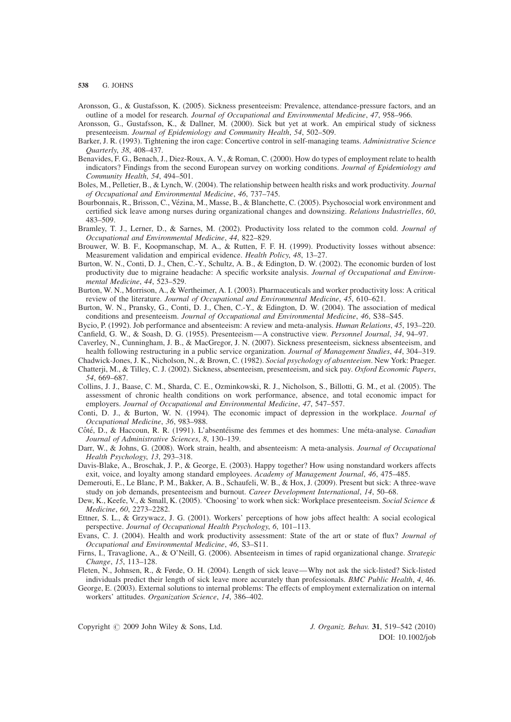- Aronsson, G., & Gustafsson, K. (2005). Sickness presenteeism: Prevalence, attendance-pressure factors, and an outline of a model for research. Journal of Occupational and Environmental Medicine, 47, 958–966.
- Aronsson, G., Gustafsson, K., & Dallner, M. (2000). Sick but yet at work. An empirical study of sickness presenteeism. Journal of Epidemiology and Community Health, 54, 502–509.
- Barker, J. R. (1993). Tightening the iron cage: Concertive control in self-managing teams. Administrative Science Quarterly, 38, 408–437.
- Benavides, F. G., Benach, J., Diez-Roux, A. V., & Roman, C. (2000). How do types of employment relate to health indicators? Findings from the second European survey on working conditions. Journal of Epidemiology and Community Health, 54, 494–501.
- Boles, M., Pelletier, B., & Lynch, W. (2004). The relationship between health risks and work productivity. Journal of Occupational and Environmental Medicine, 46, 737–745.
- Bourbonnais, R., Brisson, C., Vézina, M., Masse, B., & Blanchette, C. (2005). Psychosocial work environment and certified sick leave among nurses during organizational changes and downsizing. Relations Industrielles, 60, 483–509.
- Bramley, T. J., Lerner, D., & Sarnes, M. (2002). Productivity loss related to the common cold. Journal of Occupational and Environmental Medicine, 44, 822–829.
- Brouwer, W. B. F., Koopmanschap, M. A., & Rutten, F. F. H. (1999). Productivity losses without absence: Measurement validation and empirical evidence. Health Policy, 48, 13–27.
- Burton, W. N., Conti, D. J., Chen, C.-Y., Schultz, A. B., & Edington, D. W. (2002). The economic burden of lost productivity due to migraine headache: A specific worksite analysis. Journal of Occupational and Environmental Medicine, 44, 523–529.
- Burton, W. N., Morrison, A., & Wertheimer, A. I. (2003). Pharmaceuticals and worker productivity loss: A critical review of the literature. Journal of Occupational and Environmental Medicine, 45, 610–621.
- Burton, W. N., Pransky, G., Conti, D. J., Chen, C.-Y., & Edington, D. W. (2004). The association of medical conditions and presenteeism. Journal of Occupational and Environmental Medicine, 46, S38–S45.
- Bycio, P. (1992). Job performance and absenteeism: A review and meta-analysis. Human Relations, 45, 193–220. Canfield, G. W., & Soash, D. G. (1955). Presenteeism—A constructive view. Personnel Journal, 34, 94–97.

Caverley, N., Cunningham, J. B., & MacGregor, J. N. (2007). Sickness presenteeism, sickness absenteeism, and health following restructuring in a public service organization. Journal of Management Studies, 44, 304–319.

Chadwick-Jones, J. K., Nicholson, N., & Brown, C. (1982). Social psychology of absenteeism. New York: Praeger. Chatterji, M., & Tilley, C. J. (2002). Sickness, absenteeism, presenteeism, and sick pay. Oxford Economic Papers, 54, 669–687.

- Collins, J. J., Baase, C. M., Sharda, C. E., Ozminkowski, R. J., Nicholson, S., Billotti, G. M., et al. (2005). The assessment of chronic health conditions on work performance, absence, and total economic impact for employers. Journal of Occupational and Environmental Medicine, 47, 547–557.
- Conti, D. J., & Burton, W. N. (1994). The economic impact of depression in the workplace. Journal of Occupational Medicine, 36, 983–988.
- Côté, D., & Haccoun, R. R. (1991). L'absentéisme des femmes et des hommes: Une méta-analyse. Canadian Journal of Administrative Sciences, 8, 130–139.
- Darr, W., & Johns, G. (2008). Work strain, health, and absenteeism: A meta-analysis. Journal of Occupational Health Psychology, 13, 293–318.

Davis-Blake, A., Broschak, J. P., & George, E. (2003). Happy together? How using nonstandard workers affects exit, voice, and loyalty among standard employees. Academy of Management Journal, 46, 475–485.

- Demerouti, E., Le Blanc, P. M., Bakker, A. B., Schaufeli, W. B., & Hox, J. (2009). Present but sick: A three-wave study on job demands, presenteeism and burnout. Career Development International, 14, 50–68.
- Dew, K., Keefe, V., & Small, K. (2005). 'Choosing' to work when sick: Workplace presenteeism. Social Science & Medicine, 60, 2273–2282.
- Ettner, S. L., & Grzywacz, J. G. (2001). Workers' perceptions of how jobs affect health: A social ecological perspective. Journal of Occupational Health Psychology, 6, 101–113.

Evans, C. J. (2004). Health and work productivity assessment: State of the art or state of flux? Journal of Occupational and Environmental Medicine, 46, S3–S11.

- Firns, I., Travaglione, A., & O'Neill, G. (2006). Absenteeism in times of rapid organizational change. Strategic Change, 15, 113–128.
- Fleten, N., Johnsen, R., & Førde, O. H. (2004). Length of sick leave—Why not ask the sick-listed? Sick-listed individuals predict their length of sick leave more accurately than professionals. BMC Public Health, 4, 46.

George, E. (2003). External solutions to internal problems: The effects of employment externalization on internal workers' attitudes. Organization Science, 14, 386–402.

Copyright  $\odot$  2009 John Wiley & Sons, Ltd. J. Organiz. Behav. 31, 519–542 (2010)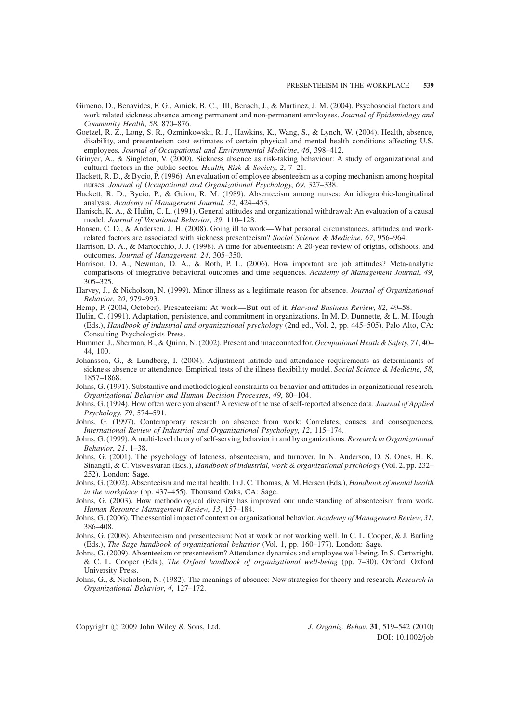- Gimeno, D., Benavides, F. G., Amick, B. C., III, Benach, J., & Martinez, J. M. (2004). Psychosocial factors and work related sickness absence among permanent and non-permanent employees. Journal of Epidemiology and Community Health, 58, 870–876.
- Goetzel, R. Z., Long, S. R., Ozminkowski, R. J., Hawkins, K., Wang, S., & Lynch, W. (2004). Health, absence, disability, and presenteeism cost estimates of certain physical and mental health conditions affecting U.S. employees. Journal of Occupational and Environmental Medicine, 46, 398–412.
- Grinyer, A., & Singleton, V. (2000). Sickness absence as risk-taking behaviour: A study of organizational and cultural factors in the public sector. Health, Risk & Society, 2, 7–21.
- Hackett, R. D., & Bycio, P. (1996). An evaluation of employee absenteeism as a coping mechanism among hospital nurses. Journal of Occupational and Organizational Psychology, 69, 327–338.
- Hackett, R. D., Bycio, P., & Guion, R. M. (1989). Absenteeism among nurses: An idiographic-longitudinal analysis. Academy of Management Journal, 32, 424–453.
- Hanisch, K. A., & Hulin, C. L. (1991). General attitudes and organizational withdrawal: An evaluation of a causal model. Journal of Vocational Behavior, 39, 110–128.
- Hansen, C. D., & Andersen, J. H. (2008). Going ill to work—What personal circumstances, attitudes and workrelated factors are associated with sickness presenteeism? Social Science & Medicine, 67, 956–964.
- Harrison, D. A., & Martocchio, J. J. (1998). A time for absenteeism: A 20-year review of origins, offshoots, and outcomes. Journal of Management, 24, 305–350.
- Harrison, D. A., Newman, D. A., & Roth, P. L. (2006). How important are job attitudes? Meta-analytic comparisons of integrative behavioral outcomes and time sequences. Academy of Management Journal, 49, 305–325.
- Harvey, J., & Nicholson, N. (1999). Minor illness as a legitimate reason for absence. Journal of Organizational Behavior, 20, 979–993.
- Hemp, P. (2004, October). Presenteeism: At work—But out of it. Harvard Business Review, 82, 49–58.
- Hulin, C. (1991). Adaptation, persistence, and commitment in organizations. In M. D. Dunnette, & L. M. Hough (Eds.), Handbook of industrial and organizational psychology (2nd ed., Vol. 2, pp. 445–505). Palo Alto, CA: Consulting Psychologists Press.
- Hummer, J., Sherman, B., & Quinn, N. (2002). Present and unaccounted for. Occupational Heath & Safety, 71, 40– 44, 100.
- Johansson, G., & Lundberg, I. (2004). Adjustment latitude and attendance requirements as determinants of sickness absence or attendance. Empirical tests of the illness flexibility model. Social Science & Medicine, 58, 1857–1868.
- Johns, G. (1991). Substantive and methodological constraints on behavior and attitudes in organizational research. Organizational Behavior and Human Decision Processes, 49, 80–104.
- Johns, G. (1994). How often were you absent? A review of the use of self-reported absence data. *Journal of Applied* Psychology, 79, 574–591.
- Johns, G. (1997). Contemporary research on absence from work: Correlates, causes, and consequences. International Review of Industrial and Organizational Psychology, 12, 115–174.
- Johns, G. (1999). A multi-level theory of self-serving behavior in and by organizations. Research in Organizational Behavior, 21, 1–38.
- Johns, G. (2001). The psychology of lateness, absenteeism, and turnover. In N. Anderson, D. S. Ones, H. K. Sinangil, & C. Viswesvaran (Eds.), Handbook of industrial, work & organizational psychology (Vol. 2, pp. 232– 252). London: Sage.
- Johns, G. (2002). Absenteeism and mental health. In J. C. Thomas, & M. Hersen (Eds.), Handbook of mental health in the workplace (pp. 437–455). Thousand Oaks, CA: Sage.
- Johns, G. (2003). How methodological diversity has improved our understanding of absenteeism from work. Human Resource Management Review, 13, 157–184.
- Johns, G. (2006). The essential impact of context on organizational behavior. Academy of Management Review, 31, 386–408.
- Johns, G. (2008). Absenteeism and presenteeism: Not at work or not working well. In C. L. Cooper, & J. Barling (Eds.), The Sage handbook of organizational behavior (Vol. 1, pp. 160–177). London: Sage.
- Johns, G. (2009). Absenteeism or presenteeism? Attendance dynamics and employee well-being. In S. Cartwright, & C. L. Cooper (Eds.), The Oxford handbook of organizational well-being (pp. 7–30). Oxford: Oxford University Press.
- Johns, G., & Nicholson, N. (1982). The meanings of absence: New strategies for theory and research. Research in Organizational Behavior, 4, 127–172.

Copyright  $\odot$  2009 John Wiley & Sons, Ltd. J. Organiz. Behav. 31, 519–542 (2010)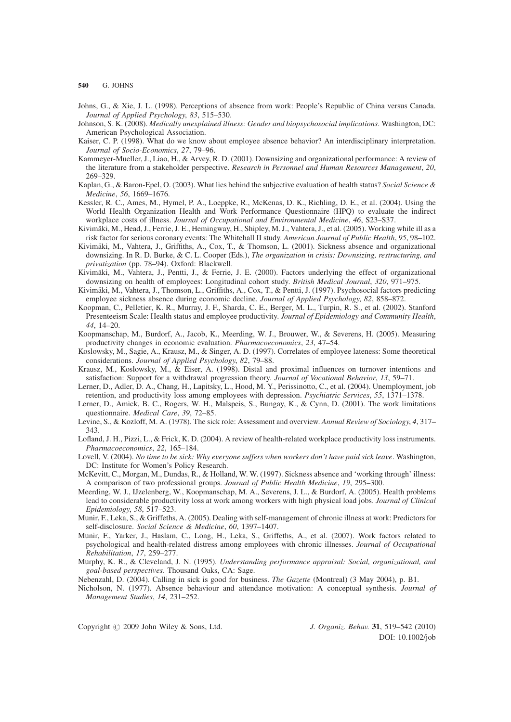- Johns, G., & Xie, J. L. (1998). Perceptions of absence from work: People's Republic of China versus Canada. Journal of Applied Psychology, 83, 515–530.
- Johnson, S. K. (2008). Medically unexplained illness: Gender and biopsychosocial implications. Washington, DC: American Psychological Association.
- Kaiser, C. P. (1998). What do we know about employee absence behavior? An interdisciplinary interpretation. Journal of Socio-Economics, 27, 79–96.
- Kammeyer-Mueller, J., Liao, H., & Arvey, R. D. (2001). Downsizing and organizational performance: A review of the literature from a stakeholder perspective. Research in Personnel and Human Resources Management, 20, 269–329.
- Kaplan, G., & Baron-Epel, O. (2003). What lies behind the subjective evaluation of health status? Social Science & Medicine, 56, 1669–1676.
- Kessler, R. C., Ames, M., Hymel, P. A., Loeppke, R., McKenas, D. K., Richling, D. E., et al. (2004). Using the World Health Organization Health and Work Performance Questionnaire (HPQ) to evaluate the indirect workplace costs of illness. Journal of Occupational and Environmental Medicine, 46, S23–S37.
- Kivimäki, M., Head, J., Ferrie, J. E., Hemingway, H., Shipley, M. J., Vahtera, J., et al. (2005). Working while ill as a risk factor for serious coronary events: The Whitehall II study. American Journal of Public Health, 95, 98-102.
- Kivimäki, M., Vahtera, J., Griffiths, A., Cox, T., & Thomson, L. (2001). Sickness absence and organizational downsizing. In R. D. Burke, & C. L. Cooper (Eds.), The organization in crisis: Downsizing, restructuring, and privatization (pp. 78–94). Oxford: Blackwell.
- Kivimäki, M., Vahtera, J., Pentti, J., & Ferrie, J. E. (2000). Factors underlying the effect of organizational downsizing on health of employees: Longitudinal cohort study. British Medical Journal, 320, 971–975.
- Kivimäki, M., Vahtera, J., Thomson, L., Griffiths, A., Cox, T., & Pentti, J. (1997). Psychosocial factors predicting employee sickness absence during economic decline. Journal of Applied Psychology, 82, 858–872.
- Koopman, C., Pelletier, K. R., Murray, J. F., Sharda, C. E., Berger, M. L., Turpin, R. S., et al. (2002). Stanford Presenteeism Scale: Health status and employee productivity. Journal of Epidemiology and Community Health, 44, 14–20.
- Koopmanschap, M., Burdorf, A., Jacob, K., Meerding, W. J., Brouwer, W., & Severens, H. (2005). Measuring productivity changes in economic evaluation. Pharmacoeconomics, 23, 47–54.
- Koslowsky, M., Sagie, A., Krausz, M., & Singer, A. D. (1997). Correlates of employee lateness: Some theoretical considerations. Journal of Applied Psychology, 82, 79–88.
- Krausz, M., Koslowsky, M., & Eiser, A. (1998). Distal and proximal influences on turnover intentions and satisfaction: Support for a withdrawal progression theory. Journal of Vocational Behavior, 13, 59–71.
- Lerner, D., Adler, D. A., Chang, H., Lapitsky, L., Hood, M. Y., Perissinotto, C., et al. (2004). Unemployment, job retention, and productivity loss among employees with depression. Psychiatric Services, 55, 1371–1378.
- Lerner, D., Amick, B. C., Rogers, W. H., Malspeis, S., Bungay, K., & Cynn, D. (2001). The work limitations questionnaire. Medical Care, 39, 72–85.
- Levine, S., & Kozloff, M. A. (1978). The sick role: Assessment and overview. Annual Review of Sociology, 4, 317– 343.
- Lofland, J. H., Pizzi, L., & Frick, K. D. (2004). A review of health-related workplace productivity loss instruments. Pharmacoeconomics, 22, 165–184.
- Lovell, V. (2004). No time to be sick: Why everyone suffers when workers don't have paid sick leave. Washington, DC: Institute for Women's Policy Research.
- McKevitt, C., Morgan, M., Dundas, R., & Holland, W. W. (1997). Sickness absence and 'working through' illness: A comparison of two professional groups. Journal of Public Health Medicine, 19, 295–300.
- Meerding, W. J., IJzelenberg, W., Koopmanschap, M. A., Severens, J. L., & Burdorf, A. (2005). Health problems lead to considerable productivity loss at work among workers with high physical load jobs. Journal of Clinical Epidemiology, 58, 517–523.
- Munir, F., Leka, S., & Griffeths, A. (2005). Dealing with self-management of chronic illness at work: Predictors for self-disclosure. Social Science & Medicine, 60, 1397–1407.
- Munir, F., Yarker, J., Haslam, C., Long, H., Leka, S., Griffeths, A., et al. (2007). Work factors related to psychological and health-related distress among employees with chronic illnesses. Journal of Occupational Rehabilitation, 17, 259–277.
- Murphy, K. R., & Cleveland, J. N. (1995). Understanding performance appraisal: Social, organizational, and goal-based perspectives. Thousand Oaks, CA: Sage.
- Nebenzahl, D. (2004). Calling in sick is good for business. The Gazette (Montreal) (3 May 2004), p. B1.
- Nicholson, N. (1977). Absence behaviour and attendance motivation: A conceptual synthesis. Journal of Management Studies, 14, 231–252.

Copyright  $\odot$  2009 John Wiley & Sons, Ltd. J. Organiz. Behav. 31, 519–542 (2010)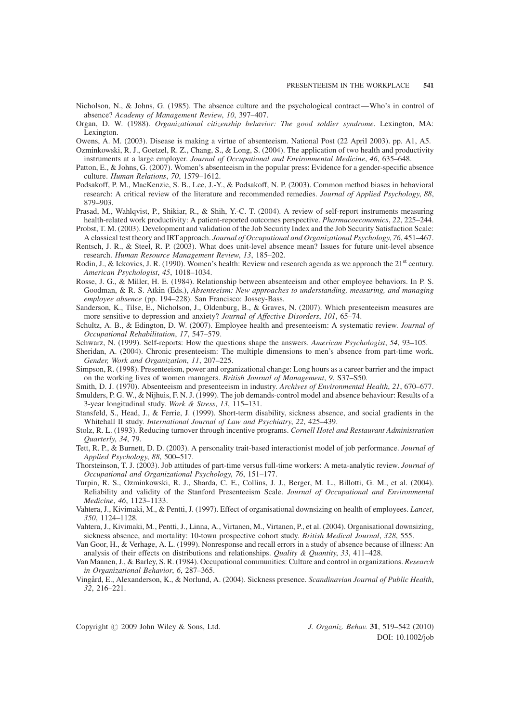- Nicholson, N., & Johns, G. (1985). The absence culture and the psychological contract—Who's in control of absence? Academy of Management Review, 10, 397–407.
- Organ, D. W. (1988). Organizational citizenship behavior: The good soldier syndrome. Lexington, MA: Lexington.
- Owens, A. M. (2003). Disease is making a virtue of absenteeism. National Post (22 April 2003). pp. A1, A5.
- Ozminkowski, R. J., Goetzel, R. Z., Chang, S., & Long, S. (2004). The application of two health and productivity instruments at a large employer. Journal of Occupational and Environmental Medicine, 46, 635–648.
- Patton, E., & Johns, G. (2007). Women's absenteeism in the popular press: Evidence for a gender-specific absence culture. Human Relations, 70, 1579–1612.
- Podsakoff, P. M., MacKenzie, S. B., Lee, J.-Y., & Podsakoff, N. P. (2003). Common method biases in behavioral research: A critical review of the literature and recommended remedies. Journal of Applied Psychology, 88, 879–903.
- Prasad, M., Wahlqvist, P., Shikiar, R., & Shih, Y.-C. T. (2004). A review of self-report instruments measuring health-related work productivity: A patient-reported outcomes perspective. Pharmacoeconomics, 22, 225–244.
- Probst, T. M. (2003). Development and validation of the Job Security Index and the Job Security Satisfaction Scale: A classical test theory and IRT approach. Journal of Occupational and Organizational Psychology, 76, 451–467. Rentsch, J. R., & Steel, R. P. (2003). What does unit-level absence mean? Issues for future unit-level absence
- research. Human Resource Management Review, 13, 185–202.
- Rodin, J., & Ickovics, J. R. (1990). Women's health: Review and research agenda as we approach the  $21<sup>st</sup>$  century. American Psychologist, 45, 1018–1034.
- Rosse, J. G., & Miller, H. E. (1984). Relationship between absenteeism and other employee behaviors. In P. S. Goodman, & R. S. Atkin (Eds.), Absenteeism: New approaches to understanding, measuring, and managing employee absence (pp. 194–228). San Francisco: Jossey-Bass.
- Sanderson, K., Tilse, E., Nicholson, J., Oldenburg, B., & Graves, N. (2007). Which presenteeism measures are more sensitive to depression and anxiety? Journal of Affective Disorders, 101, 65–74.
- Schultz, A. B., & Edington, D. W. (2007). Employee health and presenteeism: A systematic review. Journal of Occupational Rehabilitation, 17, 547–579.
- Schwarz, N. (1999). Self-reports: How the questions shape the answers. American Psychologist, 54, 93–105.
- Sheridan, A. (2004). Chronic presenteeism: The multiple dimensions to men's absence from part-time work. Gender, Work and Organization, 11, 207–225.
- Simpson, R. (1998). Presenteeism, power and organizational change: Long hours as a career barrier and the impact on the working lives of women managers. British Journal of Management, 9, S37–S50.
- Smith, D. J. (1970). Absenteeism and presenteeism in industry. Archives of Environmental Health, 21, 670–677. Smulders, P. G. W., & Nijhuis, F. N. J. (1999). The job demands-control model and absence behaviour: Results of a
- 3-year longitudinal study. Work & Stress, 13, 115–131. Stansfeld, S., Head, J., & Ferrie, J. (1999). Short-term disability, sickness absence, and social gradients in the
- Whitehall II study. International Journal of Law and Psychiatry, 22, 425–439. Stolz, R. L. (1993). Reducing turnover through incentive programs. Cornell Hotel and Restaurant Administration
- Quarterly, 34, 79.
- Tett, R. P., & Burnett, D. D. (2003). A personality trait-based interactionist model of job performance. Journal of Applied Psychology, 88, 500–517.
- Thorsteinson, T. J. (2003). Job attitudes of part-time versus full-time workers: A meta-analytic review. Journal of Occupational and Organizational Psychology, 76, 151–177.
- Turpin, R. S., Ozminkowski, R. J., Sharda, C. E., Collins, J. J., Berger, M. L., Billotti, G. M., et al. (2004). Reliability and validity of the Stanford Presenteeism Scale. Journal of Occupational and Environmental Medicine, 46, 1123–1133.
- Vahtera, J., Kivimaki, M., & Pentti, J. (1997). Effect of organisational downsizing on health of employees. Lancet, 350, 1124–1128.
- Vahtera, J., Kivimaki, M., Pentti, J., Linna, A., Virtanen, M., Virtanen, P., et al. (2004). Organisational downsizing, sickness absence, and mortality: 10-town prospective cohort study. British Medical Journal, 328, 555.
- Van Goor, H., & Verhage, A. L. (1999). Nonresponse and recall errors in a study of absence because of illness: An analysis of their effects on distributions and relationships. Quality & Quantity, 33, 411–428.
- Van Maanen, J., & Barley, S. R. (1984). Occupational communities: Culture and control in organizations. Research in Organizational Behavior, 6, 287–365.
- Vingård, E., Alexanderson, K., & Norlund, A. (2004). Sickness presence. Scandinavian Journal of Public Health, 32, 216–221.

Copyright  $\odot$  2009 John Wiley & Sons, Ltd. J. Organiz. Behav. 31, 519–542 (2010)